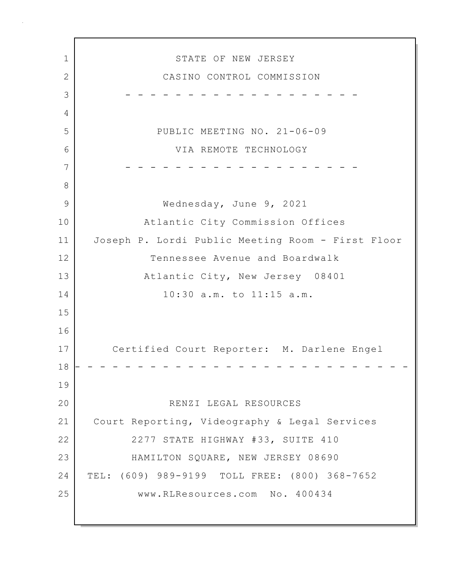1 STATE OF NEW JERSEY 2 CASINO CONTROL COMMISSION 3 - - - - - - - - - - - - - - - - - - - 4 5 PUBLIC MEETING NO. 21-06-09 6 VIA REMOTE TECHNOLOGY 7 - - - - - - - - - - - - - - - - - - - 8 9 Wednesday, June 9, 2021 10 Atlantic City Commission Offices 11 Joseph P. Lordi Public Meeting Room - First Floor 12 Tennessee Avenue and Boardwalk 13 Atlantic City, New Jersey 08401 14 10:30 a.m. to 11:15 a.m. 15 16 17 Certified Court Reporter: M. Darlene Engel 18 - - - - - - - - - - - - - - - - - - - - - - - - - - - 19 20 RENZI LEGAL RESOURCES 21 Court Reporting, Videography & Legal Services 22 2277 STATE HIGHWAY #33, SUITE 410 23 HAMILTON SQUARE, NEW JERSEY 08690 24 TEL: (609) 989-9199 TOLL FREE: (800) 368-7652 25 www.RLResources.com No. 400434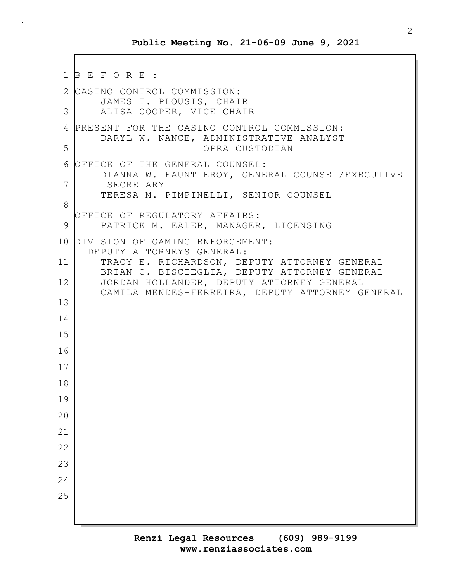```
1 B E F O R E :
2 CASINO CONTROL COMMISSION:
       JAMES T. PLOUSIS, CHAIR
 3 ALISA COOPER, VICE CHAIR
4 PRESENT FOR THE CASINO CONTROL COMMISSION:
       DARYL W. NANCE, ADMINISTRATIVE ANALYST
5 OPRA CUSTODIAN
 6 OFFICE OF THE GENERAL COUNSEL:
       DIANNA W. FAUNTLEROY, GENERAL COUNSEL/EXECUTIVE
7 SECRETARY
       TERESA M. PIMPINELLI, SENIOR COUNSEL
8
  OFFICE OF REGULATORY AFFAIRS:
 9 | PATRICK M. EALER, MANAGER, LICENSING
10 DIVISION OF GAMING ENFORCEMENT:
     DEPUTY ATTORNEYS GENERAL:
11 TRACY E. RICHARDSON, DEPUTY ATTORNEY GENERAL
       BRIAN C. BISCIEGLIA, DEPUTY ATTORNEY GENERAL
12 JORDAN HOLLANDER, DEPUTY ATTORNEY GENERAL
       CAMILA MENDES-FERREIRA, DEPUTY ATTORNEY GENERAL
13
14
15
16
17
18
19
20
21
22
23
24
25
```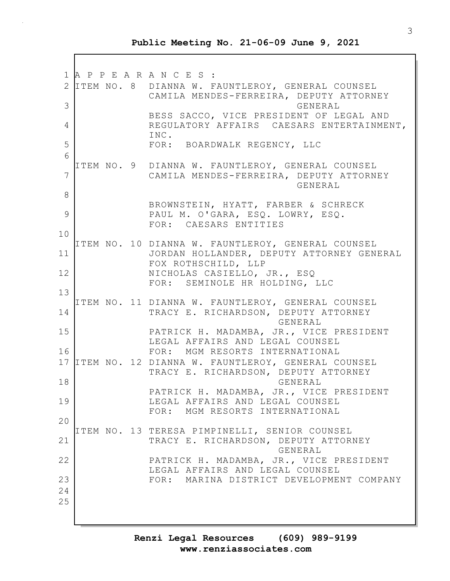1 A P P E A R A N C E S : 2 ITEM NO. 8 DIANNA W. FAUNTLEROY, GENERAL COUNSEL CAMILA MENDES-FERREIRA, DEPUTY ATTORNEY 3 GENERAL BESS SACCO, VICE PRESIDENT OF LEGAL AND 4 REGULATORY AFFAIRS CAESARS ENTERTAINMENT, INC. 5 FOR: BOARDWALK REGENCY, LLC 6 ITEM NO. 9 DIANNA W. FAUNTLEROY, GENERAL COUNSEL 7 CAMILA MENDES-FERREIRA, DEPUTY ATTORNEY GENERAL 8 BROWNSTEIN, HYATT, FARBER & SCHRECK 9 PAUL M. O'GARA, ESQ. LOWRY, ESQ. FOR: CAESARS ENTITIES 10 ITEM NO. 10 DIANNA W. FAUNTLEROY, GENERAL COUNSEL 11 JORDAN HOLLANDER, DEPUTY ATTORNEY GENERAL FOX ROTHSCHILD, LLP 12 NICHOLAS CASIELLO, JR., ESQ FOR: SEMINOLE HR HOLDING, LLC 13 ITEM NO. 11 DIANNA W. FAUNTLEROY, GENERAL COUNSEL 14 TRACY E. RICHARDSON, DEPUTY ATTORNEY GENERAL 15 PATRICK H. MADAMBA, JR., VICE PRESIDENT LEGAL AFFAIRS AND LEGAL COUNSEL 16 FOR: MGM RESORTS INTERNATIONAL 17 ITEM NO. 12 DIANNA W. FAUNTLEROY, GENERAL COUNSEL TRACY E. RICHARDSON, DEPUTY ATTORNEY 18 GENERAL PATRICK H. MADAMBA, JR., VICE PRESIDENT 19 LEGAL AFFAIRS AND LEGAL COUNSEL FOR: MGM RESORTS INTERNATIONAL 20 ITEM NO. 13 TERESA PIMPINELLI, SENIOR COUNSEL 21 TRACY E. RICHARDSON, DEPUTY ATTORNEY GENERAL 22 | PATRICK H. MADAMBA, JR., VICE PRESIDENT LEGAL AFFAIRS AND LEGAL COUNSEL 23 FOR: MARINA DISTRICT DEVELOPMENT COMPANY 24 25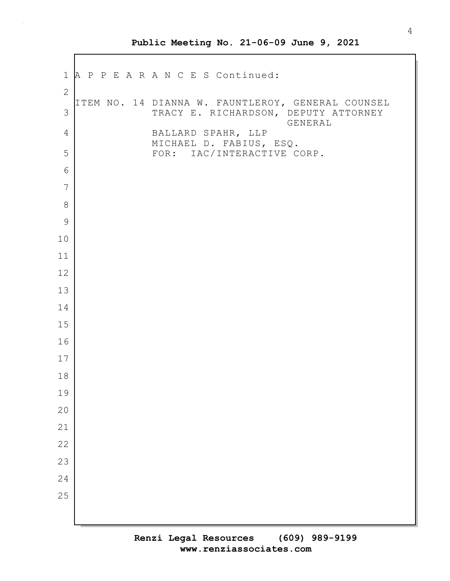1 A P P E A R A N C E S Continued: ITEM NO. 14 DIANNA W. FAUNTLEROY, GENERAL COUNSEL 3 TRACY E. RICHARDSON, DEPUTY ATTORNEY GENERAL 4 BALLARD SPAHR, LLP MICHAEL D. FABIUS, ESQ. 5 | FOR: IAC/INTERACTIVE CORP.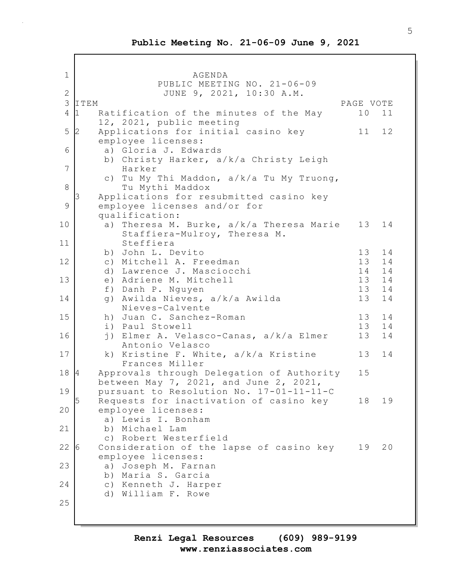1 AGENDA PUBLIC MEETING NO. 21-06-09 2 JUNE 9, 2021, 10:30 A.M. 3 ITEM PAGE VOTE 4 1 Ratification of the minutes of the May 10 11 12, 2021, public meeting 5 2 Applications for initial casino key 11 12 employee licenses: 6 a) Gloria J. Edwards b) Christy Harker, a/k/a Christy Leigh 7 Harker c) Tu My Thi Maddon, a/k/a Tu My Truong, 8 Tu Mythi Maddox Applications for resubmitted casino key 9 employee licenses and/or for qualification: 10 a) Theresa M. Burke, a/k/a Theresa Marie 13 14 Staffiera-Mulroy, Theresa M. 11 Steffiera b) John L. Devito 13 14 12 c) Mitchell A. Freedman 13 14 d) Lawrence J. Masciocchi 14 14 13 e) Adriene M. Mitchell 13 14 f) Danh P. Nguyen 13 14 14 g) Awilda Nieves, a/k/a Awilda 13 14 Nieves-Calvente 15 h) Juan C. Sanchez-Roman 13 14<br>
i) Paul Stowell 13 14 i) Paul Stowell 13 16 j) Elmer A. Velasco-Canas, a/k/a Elmer 13 14 Antonio Velasco 17 k) Kristine F. White, a/k/a Kristine 13 14 Frances Miller 18 4 Approvals through Delegation of Authority 15 between May 7, 2021, and June 2, 2021, 19 pursuant to Resolution No. 17-01-11-11-C 5 Requests for inactivation of casino key 18 19 20 employee licenses: a) Lewis I. Bonham 21 b) Michael Lam c) Robert Westerfield 22 6 Consideration of the lapse of casino key 19 20 employee licenses: 23 a) Joseph M. Farnan b) Maria S. Garcia 24 c) Kenneth J. Harper d) William F. Rowe 25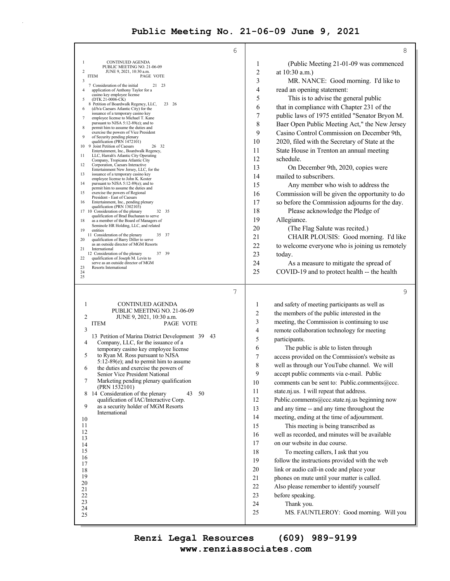$\bar{z}$ 

| 6                                                                                            |                  | 8                                                                                      |
|----------------------------------------------------------------------------------------------|------------------|----------------------------------------------------------------------------------------|
| $\mathbf{1}$<br>CONTINUED AGENDA                                                             | 1                | (Public Meeting 21-01-09 was commenced                                                 |
| PUBLIC MEETING NO. 21-06-09<br>$\overline{c}$<br>JUNE 9, 2021, 10:30 a.m.                    | $\overline{2}$   | at 10:30 a.m.)                                                                         |
| PAGE VOTE<br><b>ITEM</b><br>3                                                                | 3                | MR. NANCE: Good morning. I'd like to                                                   |
| 21 23<br>7 Consideration of the initial<br>4<br>application of Anthony Taylor for a          | 4                | read an opening statement:                                                             |
| casino key employee license<br>(DTK 21-0006-CK)<br>5                                         | 5                | This is to advise the general public                                                   |
| 8 Petition of Boardwalk Regency, LLC,<br>23 26<br>(d/b/a Caesars Atlantic City) for the<br>6 | 6                | that in compliance with Chapter 231 of the                                             |
| issuance of a temporary casino key<br>employee license to Michael T. Kane<br>7               | $\boldsymbol{7}$ | public laws of 1975 entitled "Senator Bryon M.                                         |
| pursuant to NJSA 5:12-89(e); and to                                                          | 8                | Baer Open Public Meeting Act," the New Jersey                                          |
| 8<br>permit him to assume the duties and<br>exercise the powers of Vice President            | 9                | Casino Control Commission on December 9th,                                             |
| 9<br>of Security pending plenary<br>qualification (PRN 1472101)                              | 10               | 2020, filed with the Secretary of State at the                                         |
| 10 9 Joint Petition of Caesars<br>26 32<br>Entertainment, Inc., Boardwalk Regency,           | 11               | State House in Trenton an annual meeting                                               |
| LLC, Harrah's Atlantic City Operating<br>11<br>Company, Tropicana Atlantic City              | 12               | schedule.                                                                              |
| 12<br>Corporation, Caesars Interactive<br>Entertainment New Jersey, LLC, for the             | 13               | On December 9th, 2020, copies were                                                     |
| 13<br>issuance of a temporary casino key<br>employee license to John K. Koster               | 14               | mailed to subscribers.                                                                 |
| 14<br>pursuant to NJSA 5:12-89(e); and to<br>permit him to assume the duties and             | 15               | Any member who wish to address the                                                     |
| 15<br>exercise the powers of Regional                                                        | 16               | Commission will be given the opportunity to do                                         |
| President - East of Caesars<br>16<br>Entertainment, Inc., pending plenary                    | 17               | so before the Commission adjourns for the day.                                         |
| qualification (PRN 1302103)<br>17 10 Consideration of the plenary<br>32 35                   | 18               | Please acknowledge the Pledge of                                                       |
| qualification of Brad Buchanan to serve<br>18<br>as a member of the Board of Managers of     | 19               | Allegiance.                                                                            |
| Seminole HR Holding, LLC, and related<br>19<br>entities                                      | 20               | (The Flag Salute was recited.)                                                         |
| 35 37<br>11 Consideration of the plenary<br>qualification of Barry Diller to serve<br>20     | 21               | CHAIR PLOUSIS: Good morning. I'd like                                                  |
| as an outside director of MGM Resorts<br>21<br>International                                 | 22               | to welcome everyone who is joining us remotely                                         |
| 37 39<br>12 Consideration of the plenary<br>22<br>qualification of Joseph M. Levin to        | 23               | today.                                                                                 |
| serve as an outside director of MGM<br>23<br>Resorts International                           | 24               | As a measure to mitigate the spread of                                                 |
| 24<br>25                                                                                     | 25               | COVID-19 and to protect health -- the health                                           |
| 7                                                                                            |                  | 9                                                                                      |
| <b>CONTINUED AGENDA</b><br>1                                                                 | 1                | and safety of meeting participants as well as                                          |
|                                                                                              |                  |                                                                                        |
| PUBLIC MEETING NO. 21-06-09                                                                  |                  |                                                                                        |
| 2<br>JUNE 9, 2021, 10:30 a.m.                                                                | 2                | the members of the public interested in the                                            |
| PAGE VOTE<br><b>ITEM</b><br>3                                                                | 3<br>4           | meeting, the Commission is continuing to use                                           |
| 13 Petition of Marina District Development 39<br>43                                          | 5                | remote collaboration technology for meeting                                            |
| Company, LLC, for the issuance of a<br>4                                                     | 6                | participants.                                                                          |
| temporary casino key employee license<br>to Ryan M. Ross pursuant to NJSA<br>5               | 7                | The public is able to listen through<br>access provided on the Commission's website as |
| $5:12-89(e)$ ; and to permit him to assume                                                   | 8                | well as through our YouTube channel. We will                                           |
| 6<br>the duties and exercise the powers of<br>Senior Vice President National                 | 9                | accept public comments via e-mail. Public                                              |
| 7<br>Marketing pending plenary qualification                                                 | 10               | comments can be sent to: Public.comments@ccc.                                          |
| (PRN 1532101)<br>43<br>50                                                                    | 11               | state.nj.us. I will repeat that address.                                               |
| 8 14 Consideration of the plenary<br>qualification of IAC/Interactive Corp.                  | 12               | Public.comments@ccc.state.nj.us beginning now                                          |
| 9<br>as a security holder of MGM Resorts                                                     | 13               | and any time -- and any time throughout the                                            |
| International<br>10                                                                          | 14               | meeting, ending at the time of adjournment.                                            |
| 11                                                                                           | 15               | This meeting is being transcribed as                                                   |
| 12<br>13                                                                                     | 16               | well as recorded, and minutes will be available                                        |
| 14                                                                                           | 17               | on our website in due course.                                                          |
| 15                                                                                           | 18               | To meeting callers, I ask that you                                                     |
| 16<br>17                                                                                     | 19               | follow the instructions provided with the web                                          |
| 18                                                                                           | 20               | link or audio call-in code and place your                                              |
| 19<br>20                                                                                     | 21               | phones on mute until your matter is called.                                            |
| 21                                                                                           | 22               | Also please remember to identify yourself                                              |
| 22                                                                                           | 23               | before speaking.                                                                       |
| 23<br>24<br>25                                                                               | 24<br>25         | Thank you.<br>MS. FAUNTLEROY: Good morning. Will you                                   |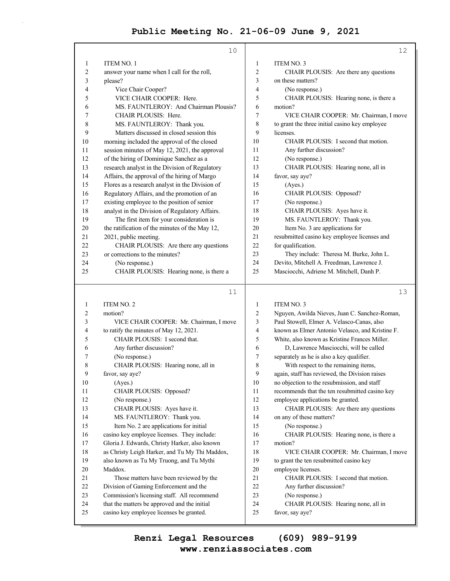|          | 10                                                                                              |          | 12                                                        |
|----------|-------------------------------------------------------------------------------------------------|----------|-----------------------------------------------------------|
| 1        | <b>ITEM NO. 1</b>                                                                               | 1        | <b>ITEM NO. 3</b>                                         |
| 2        | answer your name when I call for the roll,                                                      | 2        | CHAIR PLOUSIS: Are there any questions                    |
| 3        | please?                                                                                         | 3        | on these matters?                                         |
| 4        | Vice Chair Cooper?                                                                              | 4        | (No response.)                                            |
| 5        | VICE CHAIR COOPER: Here.                                                                        | 5        | CHAIR PLOUSIS: Hearing none, is there a                   |
| 6        | MS. FAUNTLEROY: And Chairman Plousis?                                                           | 6        | motion?                                                   |
| 7        | CHAIR PLOUSIS: Here.                                                                            | 7        | VICE CHAIR COOPER: Mr. Chairman, I move                   |
| 8        | MS. FAUNTLEROY: Thank you.                                                                      | 8        | to grant the three initial casino key employee            |
| 9        | Matters discussed in closed session this                                                        | 9        | licenses.                                                 |
| 10       | morning included the approval of the closed                                                     | 10       | CHAIR PLOUSIS: I second that motion.                      |
| 11       | session minutes of May 12, 2021, the approval                                                   | 11       | Any further discussion?                                   |
| 12       | of the hiring of Dominique Sanchez as a                                                         | 12       | (No response.)                                            |
| 13       | research analyst in the Division of Regulatory                                                  | 13       | CHAIR PLOUSIS: Hearing none, all in                       |
| 14       | Affairs, the approval of the hiring of Margo                                                    | 14       | favor, say aye?                                           |
| 15       | Flores as a research analyst in the Division of                                                 | 15       | (Ayes.)                                                   |
| 16       | Regulatory Affairs, and the promotion of an                                                     | 16       | CHAIR PLOUSIS: Opposed?                                   |
| 17       | existing employee to the position of senior                                                     | 17       | (No response.)                                            |
| 18       | analyst in the Division of Regulatory Affairs.                                                  | 18       | CHAIR PLOUSIS: Ayes have it.                              |
| 19       | The first item for your consideration is                                                        | 19       | MS. FAUNTLEROY: Thank you.                                |
| 20       | the ratification of the minutes of the May 12,                                                  | 20       | Item No. 3 are applications for                           |
| 21       | 2021, public meeting.                                                                           | 21       | resubmitted casino key employee licenses and              |
| 22       | CHAIR PLOUSIS: Are there any questions                                                          | 22       | for qualification.                                        |
| 23       | or corrections to the minutes?                                                                  | 23       | They include: Theresa M. Burke, John L.                   |
| 24       | (No response.)                                                                                  | 24       | Devito, Mitchell A. Freedman, Lawrence J.                 |
| 25       | CHAIR PLOUSIS: Hearing none, is there a                                                         | 25       | Masciocchi, Adriene M. Mitchell, Danh P.                  |
|          |                                                                                                 |          |                                                           |
|          |                                                                                                 |          |                                                           |
|          | 11                                                                                              |          | 13                                                        |
| 1        | <b>ITEM NO. 2</b>                                                                               | 1        | <b>ITEM NO. 3</b>                                         |
| 2        | motion?                                                                                         | 2        | Nguyen, Awilda Nieves, Juan C. Sanchez-Roman,             |
| 3        | VICE CHAIR COOPER: Mr. Chairman, I move                                                         | 3        | Paul Stowell, Elmer A. Velasco-Canas, also                |
| 4        | to ratify the minutes of May 12, 2021.                                                          | 4        | known as Elmer Antonio Velasco, and Kristine F.           |
| 5        | CHAIR PLOUSIS: I second that.                                                                   | 5        | White, also known as Kristine Frances Miller.             |
| 6        | Any further discussion?                                                                         | 6        | D, Lawrence Masciocchi, will be called                    |
| 7        | (No response.)                                                                                  | 7        | separately as he is also a key qualifier.                 |
| 8        | CHAIR PLOUSIS: Hearing none, all in                                                             | 8        | With respect to the remaining items,                      |
| 9        | favor, say aye?                                                                                 | 9        | again, staff has reviewed, the Division raises            |
| 10       | (Ayes.)                                                                                         | 10       | no objection to the resubmission, and staff               |
| 11       | CHAIR PLOUSIS: Opposed?                                                                         | 11       | recommends that the ten resubmitted casino key            |
| 12<br>13 | (No response.)                                                                                  | 12<br>13 | employee applications be granted.                         |
| 14       | CHAIR PLOUSIS: Ayes have it.                                                                    | 14       | CHAIR PLOUSIS: Are there any questions                    |
| 15       | MS. FAUNTLEROY: Thank you.                                                                      | 15       | on any of these matters?                                  |
| 16       | Item No. 2 are applications for initial                                                         | 16       | (No response.)<br>CHAIR PLOUSIS: Hearing none, is there a |
| 17       | casino key employee licenses. They include:                                                     | 17       | motion?                                                   |
| 18       | Gloria J. Edwards, Christy Harker, also known<br>as Christy Leigh Harker, and Tu My Thi Maddox, | 18       | VICE CHAIR COOPER: Mr. Chairman, I move                   |
| 19       | also known as Tu My Truong, and Tu Mythi                                                        | 19       | to grant the ten resubmitted casino key                   |
| 20       | Maddox.                                                                                         | 20       | employee licenses.                                        |
| 21       | Those matters have been reviewed by the                                                         | 21       | CHAIR PLOUSIS: I second that motion.                      |
| 22       | Division of Gaming Enforcement and the                                                          | 22       | Any further discussion?                                   |
| 23       | Commission's licensing staff. All recommend                                                     | 23       | (No response.)                                            |
| 24<br>25 | that the matters be approved and the initial<br>casino key employee licenses be granted.        | 24<br>25 | CHAIR PLOUSIS: Hearing none, all in<br>favor, say aye?    |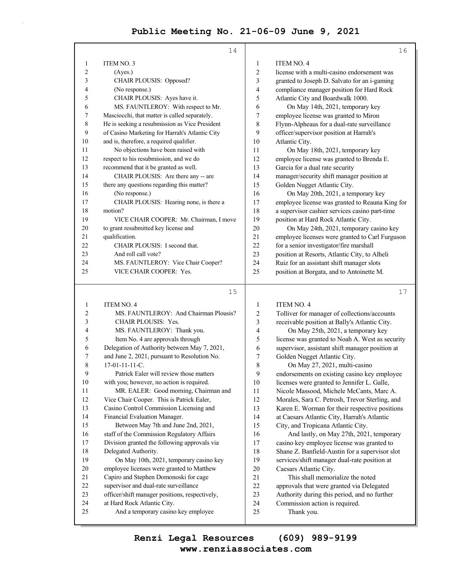|        | 14                                             |                         | 16                                              |
|--------|------------------------------------------------|-------------------------|-------------------------------------------------|
| 1      | ITEM NO. 3                                     | 1                       | <b>ITEM NO. 4</b>                               |
| 2      | (Ayes.)                                        | $\overline{\mathbf{c}}$ | license with a multi-casino endorsement was     |
| 3      | CHAIR PLOUSIS: Opposed?                        | 3                       | granted to Joseph D. Salvato for an i-gaming    |
| 4      | (No response.)                                 | 4                       | compliance manager position for Hard Rock       |
| 5      | CHAIR PLOUSIS: Ayes have it.                   | 5                       | Atlantic City and Boardwalk 1000.               |
| 6      | MS. FAUNTLEROY: With respect to Mr.            | 6                       | On May 14th, 2021, temporary key                |
| 7      | Masciocchi, that matter is called separately.  | 7                       | employee license was granted to Miron           |
| 8      | He is seeking a resubmission as Vice President | 8                       | Flynn-Alpheaus for a dual-rate surveillance     |
| 9      | of Casino Marketing for Harrah's Atlantic City | 9                       | officer/supervisor position at Harrah's         |
| 10     | and is, therefore, a required qualifier.       | 10                      | Atlantic City.                                  |
| 11     | No objections have been raised with            | 11                      | On May 18th, 2021, temporary key                |
| 12     | respect to his resubmission, and we do         | 12                      | employee license was granted to Brenda E.       |
| 13     | recommend that it be granted as well.          | 13                      | Garcia for a dual rate security                 |
| 14     | CHAIR PLOUSIS: Are there any -- are            | 14                      | manager/security shift manager position at      |
| 15     | there any questions regarding this matter?     | 15                      | Golden Nugget Atlantic City.                    |
| 16     | (No response.)                                 | 16                      | On May 20th, 2021, a temporary key              |
| 17     | CHAIR PLOUSIS: Hearing none, is there a        | 17                      | employee license was granted to Reauna King for |
| 18     | motion?                                        | 18                      | a supervisor cashier services casino part-time  |
| 19     | VICE CHAIR COOPER: Mr. Chairman, I move        | 19                      | position at Hard Rock Atlantic City.            |
| 20     | to grant resubmitted key license and           | 20                      | On May 24th, 2021, temporary casino key         |
| 21     | qualification.                                 | 21                      | employee licenses were granted to Carl Furguson |
| 22     | CHAIR PLOUSIS: I second that.                  | 22                      | for a senior investigator/fire marshall         |
| 23     | And roll call vote?                            | 23                      | position at Resorts, Atlantic City, to Alheli   |
| 24     | MS. FAUNTLEROY: Vice Chair Cooper?             | 24                      | Ruiz for an assistant shift manager slots       |
| 25     | VICE CHAIR COOPER: Yes.                        | 25                      | position at Borgata, and to Antoinette M.       |
|        | 15                                             |                         | 17                                              |
| 1      | <b>ITEM NO. 4</b>                              | 1                       | <b>ITEM NO. 4</b>                               |
| 2      | MS. FAUNTLEROY: And Chairman Plousis?          | $\overline{c}$          | Tolliver for manager of collections/accounts    |
| 3      | CHAIR PLOUSIS: Yes.                            | 3                       | receivable position at Bally's Atlantic City.   |
| 4      | MS. FAUNTLEROY: Thank you.                     | 4                       | On May 25th, 2021, a temporary key              |
| 5      | Item No. 4 are approvals through               | 5                       | license was granted to Noah A. West as security |
| 6      | Delegation of Authority between May 7, 2021,   | 6                       | supervisor, assistant shift manager position at |
| 7      | and June 2, 2021, pursuant to Resolution No.   | 7                       | Golden Nugget Atlantic City.                    |
| 8      | 17-01-11-11-C.                                 | 8                       | On May 27, 2021, multi-casino                   |
| 9      | Patrick Ealer will review those matters        | 9                       | endorsements on existing casino key employee    |
| $10\,$ | with you; however, no action is required.      | 10                      | licenses were granted to Jennifer L. Galle,     |
| 11     | MR. EALER: Good morning, Chairman and          | 11                      | Nicole Massood, Michele McCants, Marc A.        |
| 12     | Vice Chair Cooper. This is Patrick Ealer,      | 12                      | Morales, Sara C. Petrosh, Trevor Sterling, and  |
| 13     | Casino Control Commission Licensing and        | 13                      | Karen E. Worman for their respective positions  |
| 14     | Financial Evaluation Manager.                  | 14                      | at Caesars Atlantic City, Harrah's Atlantic     |
| 15     | Between May 7th and June 2nd, 2021,            | 15                      | City, and Tropicana Atlantic City.              |
| 16     | staff of the Commission Regulatory Affairs     | 16                      | And lastly, on May 27th, 2021, temporary        |
| 17     | Division granted the following approvals via   | 17                      | casino key employee license was granted to      |
| $18\,$ | Delegated Authority.                           | 18                      | Shane Z. Banfield-Austin for a supervisor slot  |

18 Shane Z. Banfield-Austin for a supervisor slot<br>19 services/shift manager dual-rate position at

services/shift manager dual-rate position at

20 Caesars Atlantic City.

21 This shall memorialize the noted

- 22 approvals that were granted via Delegated
- 23 Authority during this period, and no further
- 24 Commission action is required.
- 25 Thank you.

19 On May 10th, 2021, temporary casino key 20 employee licenses were granted to Matthew 21 Capiro and Stephen Domonoski for cage 22 supervisor and dual-rate surveillance 23 officer/shift manager positions, respectively,

25 And a temporary casino key employee

24 at Hard Rock Atlantic City.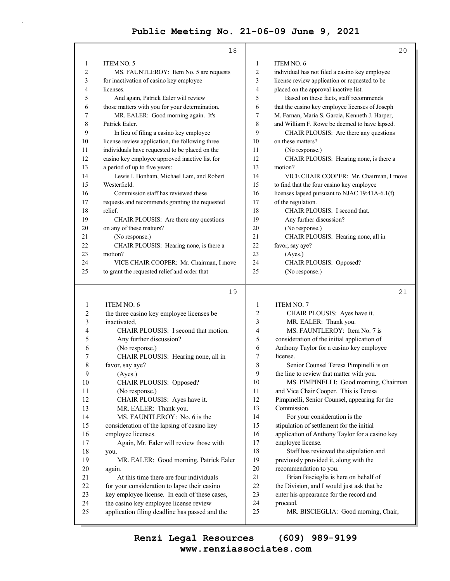|          | 18                                                                                       |                | 20                                               |
|----------|------------------------------------------------------------------------------------------|----------------|--------------------------------------------------|
| 1        | ITEM NO. 5                                                                               | 1              | ITEM NO. 6                                       |
| 2        | MS. FAUNTLEROY: Item No. 5 are requests                                                  | 2              | individual has not filed a casino key employee   |
| 3        | for inactivation of casino key employee                                                  | 3              | license review application or requested to be    |
| 4        | licenses.                                                                                | 4              | placed on the approval inactive list.            |
| 5        | And again, Patrick Ealer will review                                                     | 5              | Based on these facts, staff recommends           |
| 6        | those matters with you for your determination.                                           | 6              | that the casino key employee licenses of Joseph  |
| 7        | MR. EALER: Good morning again. It's                                                      | 7              | M. Farnan, Maria S. Garcia, Kenneth J. Harper,   |
| 8        | Patrick Ealer.                                                                           | 8              | and William F. Rowe be deemed to have lapsed.    |
| 9        | In lieu of filing a casino key employee                                                  | 9              | CHAIR PLOUSIS: Are there any questions           |
| 10       | license review application, the following three                                          | 10             | on these matters?                                |
| 11       | individuals have requested to be placed on the                                           | 11             | (No response.)                                   |
| 12       | casino key employee approved inactive list for                                           | 12             | CHAIR PLOUSIS: Hearing none, is there a          |
| 13       | a period of up to five years:                                                            | 13             | motion?                                          |
| 14       | Lewis I. Bonham, Michael Lam, and Robert                                                 | 14             | VICE CHAIR COOPER: Mr. Chairman, I move          |
| 15       | Westerfield.                                                                             | 15             | to find that the four casino key employee        |
| 16       | Commission staff has reviewed these                                                      | 16             | licenses lapsed pursuant to NJAC 19:41A-6.1(f)   |
| 17       | requests and recommends granting the requested                                           | 17             | of the regulation.                               |
| 18       | relief.                                                                                  | 18             | CHAIR PLOUSIS: I second that.                    |
| 19       | CHAIR PLOUSIS: Are there any questions                                                   | 19             | Any further discussion?                          |
| 20       | on any of these matters?                                                                 | 20             | (No response.)                                   |
| 21       | (No response.)                                                                           | 21             | CHAIR PLOUSIS: Hearing none, all in              |
| 22       | CHAIR PLOUSIS: Hearing none, is there a                                                  | 22             | favor, say aye?                                  |
| 23       | motion?                                                                                  | 23             | (Ayes.)                                          |
| 24       | VICE CHAIR COOPER: Mr. Chairman, I move                                                  | 24             | CHAIR PLOUSIS: Opposed?                          |
| 25       | to grant the requested relief and order that                                             | 25             | (No response.)                                   |
|          |                                                                                          |                |                                                  |
|          |                                                                                          |                |                                                  |
|          | 19                                                                                       |                | 21                                               |
| 1        | ITEM NO. 6                                                                               | 1              | <b>ITEM NO. 7</b>                                |
| 2        | the three casino key employee licenses be                                                | 2              | CHAIR PLOUSIS: Ayes have it.                     |
| 3        | inactivated.                                                                             | 3              | MR. EALER: Thank you.                            |
| 4        | CHAIR PLOUSIS: I second that motion.                                                     | $\overline{4}$ | MS. FAUNTLEROY: Item No. 7 is                    |
| 5        | Any further discussion?                                                                  | 5              | consideration of the initial application of      |
| 6        | (No response.)                                                                           | 6              | Anthony Taylor for a casino key employee         |
| 7        | CHAIR PLOUSIS: Hearing none, all in                                                      | 7              | license.                                         |
| 8        | favor, say aye?                                                                          | 8              | Senior Counsel Teresa Pimpinelli is on           |
| 9        | (Ayes.)                                                                                  | $\mathbf{9}$   | the line to review that matter with you.         |
| 10       | CHAIR PLOUSIS: Opposed?                                                                  | 10             | MS. PIMPINELLI: Good morning, Chairman           |
| 11       | (No response.)                                                                           | 11             | and Vice Chair Cooper. This is Teresa            |
| 12       | CHAIR PLOUSIS: Ayes have it.                                                             | 12             | Pimpinelli, Senior Counsel, appearing for the    |
| 13       | MR. EALER: Thank you.                                                                    | 13             | Commission.                                      |
| 14       | MS. FAUNTLEROY: No. 6 is the                                                             | 14             | For your consideration is the                    |
| 15       | consideration of the lapsing of casino key                                               | 15             | stipulation of settlement for the initial        |
| 16       | employee licenses.                                                                       | 16             | application of Anthony Taylor for a casino key   |
| 17       | Again, Mr. Ealer will review those with                                                  | 17             | employee license.                                |
| 18       | you.                                                                                     | 18             | Staff has reviewed the stipulation and           |
| 19       | MR. EALER: Good morning, Patrick Ealer                                                   | 19             | previously provided it, along with the           |
| $20\,$   | again.                                                                                   | 20             | recommendation to you.                           |
| 21       | At this time there are four individuals                                                  | 21             | Brian Biscieglia is here on behalf of            |
| 22       | for your consideration to lapse their casino                                             | 22             | the Division, and I would just ask that he       |
| 23       | key employee license. In each of these cases,                                            | 23             | enter his appearance for the record and          |
| 24<br>25 | the casino key employee license review<br>application filing deadline has passed and the | 24<br>25       | proceed.<br>MR. BISCIEGLIA: Good morning, Chair, |

**www.renziassociates.com Renzi Legal Resources (609) 989-9199**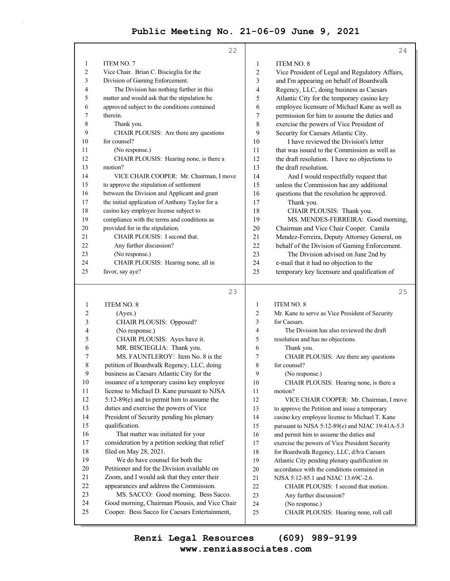| ITEM NO. 8<br><b>ITEM NO. 7</b><br>1<br>1<br>2<br>Vice Chair. Brian C. Biscieglia for the<br>$\overline{c}$<br>Vice President of Legal and Regulatory Affairs,<br>3<br>Division of Gaming Enforcement.<br>3<br>and I'm appearing on behalf of Boardwalk<br>The Division has nothing further in this<br>Regency, LLC, doing business as Caesars<br>4<br>4<br>5<br>5<br>matter and would ask that the stipulation be<br>Atlantic City for the temporary casino key<br>approved subject to the conditions contained<br>6<br>6<br>employee licensure of Michael Kane as well as<br>7<br>therein.<br>7<br>permission for him to assume the duties and<br>8<br>8<br>exercise the powers of Vice President of<br>Thank you.<br>9<br>9<br>CHAIR PLOUSIS: Are there any questions<br>Security for Caesars Atlantic City.<br>I have reviewed the Division's letter<br>10<br>for counsel?<br>10<br>11<br>that was issued to the Commission as well as<br>(No response.)<br>11<br>12<br>12<br>CHAIR PLOUSIS: Hearing none, is there a<br>the draft resolution. I have no objections to<br>13<br>motion?<br>13<br>the draft resolution.<br>14<br>VICE CHAIR COOPER: Mr. Chairman, I move<br>14<br>And I would respectfully request that<br>15<br>to approve the stipulation of settlement<br>15<br>unless the Commission has any additional<br>16<br>between the Division and Applicant and grant<br>16<br>questions that the resolution be approved.<br>17<br>the initial application of Anthony Taylor for a<br>17<br>Thank you.<br>18<br>casino key employee license subject to<br>18<br>CHAIR PLOUSIS: Thank you.<br>19<br>compliance with the terms and conditions as<br>19<br>MS. MENDES-FERREIRA: Good morning,<br>20<br>provided for in the stipulation.<br>20<br>Chairman and Vice Chair Cooper. Camila<br>21<br>CHAIR PLOUSIS: I second that.<br>21<br>Mendez-Ferreira, Deputy Attorney General, on<br>22<br>22<br>Any further discussion?<br>behalf of the Division of Gaming Enforcement.<br>23<br>23<br>(No response.)<br>The Division advised on June 2nd by<br>CHAIR PLOUSIS: Hearing none, all in<br>24<br>e-mail that it had no objection to the<br>24<br>25<br>favor, say aye?<br>25<br>temporary key licensure and qualification of<br>25<br>23<br><b>ITEM NO. 8</b><br><b>ITEM NO. 8</b><br>1<br>1<br>2<br>2<br>Mr. Kane to serve as Vice President of Security<br>(Ayes.)<br>3<br>CHAIR PLOUSIS: Opposed?<br>3<br>for Caesars.<br>4<br>4<br>The Division has also reviewed the draft<br>(No response.)<br>5<br>CHAIR PLOUSIS: Ayes have it.<br>5<br>resolution and has no objections.<br>6<br>6<br>MR. BISCIEGLIA: Thank you.<br>Thank you.<br>MS. FAUNTLEROY: Item No. 8 is the<br>7<br>7<br>CHAIR PLOUSIS: Are there any questions<br>8<br>8<br>petition of Boardwalk Regency, LLC, doing<br>for counsel?<br>9<br>business as Caesars Atlantic City for the<br>9<br>(No response.)<br>10<br>10<br>issuance of a temporary casino key employee<br>CHAIR PLOUSIS: Hearing none, is there a<br>11<br>license to Michael D. Kane pursuant to NJSA<br>11<br>motion?<br>12<br>5:12-89(e) and to permit him to assume the<br>12<br>VICE CHAIR COOPER: Mr. Chairman, I move<br>13<br>duties and exercise the powers of Vice<br>13<br>to approve the Petition and issue a temporary<br>14<br>President of Security pending his plenary<br>14<br>casino key employee license to Michael T. Kane<br>15<br>qualification.<br>15<br>pursuant to NJSA 5:12-89(e) and NJAC 19:41A-5.3<br>16<br>That matter was initiated for your<br>16<br>and permit him to assume the duties and<br>consideration by a petition seeking that relief<br>17<br>17<br>exercise the powers of Vice President Security<br>18<br>filed on May 28, 2021.<br>18<br>for Boardwalk Regency, LLC, d/b/a Caesars<br>19<br>We do have counsel for both the<br>19<br>Atlantic City pending plenary qualification in<br>20<br>Petitioner and for the Division available on<br>20<br>accordance with the conditions contained in<br>21<br>Zoom, and I would ask that they enter their<br>21<br>NJSA 5:12-85.1 and NJAC 13:69C-2.6.<br>22<br>appearances and address the Commission.<br>22<br>CHAIR PLOUSIS: I second that motion.<br>23<br>MS. SACCO: Good morning. Bess Sacco.<br>23<br>Any further discussion?<br>24<br>Good morning, Chairman Plousis, and Vice Chair<br>24<br>(No response.)<br>25<br>Cooper. Bess Sacco for Caesars Entertainment,<br>25<br>CHAIR PLOUSIS: Hearing none, roll call | 22 | 24 |
|----------------------------------------------------------------------------------------------------------------------------------------------------------------------------------------------------------------------------------------------------------------------------------------------------------------------------------------------------------------------------------------------------------------------------------------------------------------------------------------------------------------------------------------------------------------------------------------------------------------------------------------------------------------------------------------------------------------------------------------------------------------------------------------------------------------------------------------------------------------------------------------------------------------------------------------------------------------------------------------------------------------------------------------------------------------------------------------------------------------------------------------------------------------------------------------------------------------------------------------------------------------------------------------------------------------------------------------------------------------------------------------------------------------------------------------------------------------------------------------------------------------------------------------------------------------------------------------------------------------------------------------------------------------------------------------------------------------------------------------------------------------------------------------------------------------------------------------------------------------------------------------------------------------------------------------------------------------------------------------------------------------------------------------------------------------------------------------------------------------------------------------------------------------------------------------------------------------------------------------------------------------------------------------------------------------------------------------------------------------------------------------------------------------------------------------------------------------------------------------------------------------------------------------------------------------------------------------------------------------------------------------------------------------------------------------------------------------------------------------------------------------------------------------------------------------------------------------------------------------------------------------------------------------------------------------------------------------------------------------------------------------------------------------------------------------------------------------------------------------------------------------------------------------------------------------------------------------------------------------------------------------------------------------------------------------------------------------------------------------------------------------------------------------------------------------------------------------------------------------------------------------------------------------------------------------------------------------------------------------------------------------------------------------------------------------------------------------------------------------------------------------------------------------------------------------------------------------------------------------------------------------------------------------------------------------------------------------------------------------------------------------------------------------------------------------------------------------------------------------------------------------------------------------------------------------------------------------------------------------------------------------------------------------------------------------------------------------------------------------------------------------------------------------------------------------------------------------------|----|----|
|                                                                                                                                                                                                                                                                                                                                                                                                                                                                                                                                                                                                                                                                                                                                                                                                                                                                                                                                                                                                                                                                                                                                                                                                                                                                                                                                                                                                                                                                                                                                                                                                                                                                                                                                                                                                                                                                                                                                                                                                                                                                                                                                                                                                                                                                                                                                                                                                                                                                                                                                                                                                                                                                                                                                                                                                                                                                                                                                                                                                                                                                                                                                                                                                                                                                                                                                                                                                                                                                                                                                                                                                                                                                                                                                                                                                                                                                                                                                                                                                                                                                                                                                                                                                                                                                                                                                                                                                                                                                      |    |    |
|                                                                                                                                                                                                                                                                                                                                                                                                                                                                                                                                                                                                                                                                                                                                                                                                                                                                                                                                                                                                                                                                                                                                                                                                                                                                                                                                                                                                                                                                                                                                                                                                                                                                                                                                                                                                                                                                                                                                                                                                                                                                                                                                                                                                                                                                                                                                                                                                                                                                                                                                                                                                                                                                                                                                                                                                                                                                                                                                                                                                                                                                                                                                                                                                                                                                                                                                                                                                                                                                                                                                                                                                                                                                                                                                                                                                                                                                                                                                                                                                                                                                                                                                                                                                                                                                                                                                                                                                                                                                      |    |    |
|                                                                                                                                                                                                                                                                                                                                                                                                                                                                                                                                                                                                                                                                                                                                                                                                                                                                                                                                                                                                                                                                                                                                                                                                                                                                                                                                                                                                                                                                                                                                                                                                                                                                                                                                                                                                                                                                                                                                                                                                                                                                                                                                                                                                                                                                                                                                                                                                                                                                                                                                                                                                                                                                                                                                                                                                                                                                                                                                                                                                                                                                                                                                                                                                                                                                                                                                                                                                                                                                                                                                                                                                                                                                                                                                                                                                                                                                                                                                                                                                                                                                                                                                                                                                                                                                                                                                                                                                                                                                      |    |    |
|                                                                                                                                                                                                                                                                                                                                                                                                                                                                                                                                                                                                                                                                                                                                                                                                                                                                                                                                                                                                                                                                                                                                                                                                                                                                                                                                                                                                                                                                                                                                                                                                                                                                                                                                                                                                                                                                                                                                                                                                                                                                                                                                                                                                                                                                                                                                                                                                                                                                                                                                                                                                                                                                                                                                                                                                                                                                                                                                                                                                                                                                                                                                                                                                                                                                                                                                                                                                                                                                                                                                                                                                                                                                                                                                                                                                                                                                                                                                                                                                                                                                                                                                                                                                                                                                                                                                                                                                                                                                      |    |    |
|                                                                                                                                                                                                                                                                                                                                                                                                                                                                                                                                                                                                                                                                                                                                                                                                                                                                                                                                                                                                                                                                                                                                                                                                                                                                                                                                                                                                                                                                                                                                                                                                                                                                                                                                                                                                                                                                                                                                                                                                                                                                                                                                                                                                                                                                                                                                                                                                                                                                                                                                                                                                                                                                                                                                                                                                                                                                                                                                                                                                                                                                                                                                                                                                                                                                                                                                                                                                                                                                                                                                                                                                                                                                                                                                                                                                                                                                                                                                                                                                                                                                                                                                                                                                                                                                                                                                                                                                                                                                      |    |    |
|                                                                                                                                                                                                                                                                                                                                                                                                                                                                                                                                                                                                                                                                                                                                                                                                                                                                                                                                                                                                                                                                                                                                                                                                                                                                                                                                                                                                                                                                                                                                                                                                                                                                                                                                                                                                                                                                                                                                                                                                                                                                                                                                                                                                                                                                                                                                                                                                                                                                                                                                                                                                                                                                                                                                                                                                                                                                                                                                                                                                                                                                                                                                                                                                                                                                                                                                                                                                                                                                                                                                                                                                                                                                                                                                                                                                                                                                                                                                                                                                                                                                                                                                                                                                                                                                                                                                                                                                                                                                      |    |    |
|                                                                                                                                                                                                                                                                                                                                                                                                                                                                                                                                                                                                                                                                                                                                                                                                                                                                                                                                                                                                                                                                                                                                                                                                                                                                                                                                                                                                                                                                                                                                                                                                                                                                                                                                                                                                                                                                                                                                                                                                                                                                                                                                                                                                                                                                                                                                                                                                                                                                                                                                                                                                                                                                                                                                                                                                                                                                                                                                                                                                                                                                                                                                                                                                                                                                                                                                                                                                                                                                                                                                                                                                                                                                                                                                                                                                                                                                                                                                                                                                                                                                                                                                                                                                                                                                                                                                                                                                                                                                      |    |    |
|                                                                                                                                                                                                                                                                                                                                                                                                                                                                                                                                                                                                                                                                                                                                                                                                                                                                                                                                                                                                                                                                                                                                                                                                                                                                                                                                                                                                                                                                                                                                                                                                                                                                                                                                                                                                                                                                                                                                                                                                                                                                                                                                                                                                                                                                                                                                                                                                                                                                                                                                                                                                                                                                                                                                                                                                                                                                                                                                                                                                                                                                                                                                                                                                                                                                                                                                                                                                                                                                                                                                                                                                                                                                                                                                                                                                                                                                                                                                                                                                                                                                                                                                                                                                                                                                                                                                                                                                                                                                      |    |    |
|                                                                                                                                                                                                                                                                                                                                                                                                                                                                                                                                                                                                                                                                                                                                                                                                                                                                                                                                                                                                                                                                                                                                                                                                                                                                                                                                                                                                                                                                                                                                                                                                                                                                                                                                                                                                                                                                                                                                                                                                                                                                                                                                                                                                                                                                                                                                                                                                                                                                                                                                                                                                                                                                                                                                                                                                                                                                                                                                                                                                                                                                                                                                                                                                                                                                                                                                                                                                                                                                                                                                                                                                                                                                                                                                                                                                                                                                                                                                                                                                                                                                                                                                                                                                                                                                                                                                                                                                                                                                      |    |    |
|                                                                                                                                                                                                                                                                                                                                                                                                                                                                                                                                                                                                                                                                                                                                                                                                                                                                                                                                                                                                                                                                                                                                                                                                                                                                                                                                                                                                                                                                                                                                                                                                                                                                                                                                                                                                                                                                                                                                                                                                                                                                                                                                                                                                                                                                                                                                                                                                                                                                                                                                                                                                                                                                                                                                                                                                                                                                                                                                                                                                                                                                                                                                                                                                                                                                                                                                                                                                                                                                                                                                                                                                                                                                                                                                                                                                                                                                                                                                                                                                                                                                                                                                                                                                                                                                                                                                                                                                                                                                      |    |    |
|                                                                                                                                                                                                                                                                                                                                                                                                                                                                                                                                                                                                                                                                                                                                                                                                                                                                                                                                                                                                                                                                                                                                                                                                                                                                                                                                                                                                                                                                                                                                                                                                                                                                                                                                                                                                                                                                                                                                                                                                                                                                                                                                                                                                                                                                                                                                                                                                                                                                                                                                                                                                                                                                                                                                                                                                                                                                                                                                                                                                                                                                                                                                                                                                                                                                                                                                                                                                                                                                                                                                                                                                                                                                                                                                                                                                                                                                                                                                                                                                                                                                                                                                                                                                                                                                                                                                                                                                                                                                      |    |    |
|                                                                                                                                                                                                                                                                                                                                                                                                                                                                                                                                                                                                                                                                                                                                                                                                                                                                                                                                                                                                                                                                                                                                                                                                                                                                                                                                                                                                                                                                                                                                                                                                                                                                                                                                                                                                                                                                                                                                                                                                                                                                                                                                                                                                                                                                                                                                                                                                                                                                                                                                                                                                                                                                                                                                                                                                                                                                                                                                                                                                                                                                                                                                                                                                                                                                                                                                                                                                                                                                                                                                                                                                                                                                                                                                                                                                                                                                                                                                                                                                                                                                                                                                                                                                                                                                                                                                                                                                                                                                      |    |    |
|                                                                                                                                                                                                                                                                                                                                                                                                                                                                                                                                                                                                                                                                                                                                                                                                                                                                                                                                                                                                                                                                                                                                                                                                                                                                                                                                                                                                                                                                                                                                                                                                                                                                                                                                                                                                                                                                                                                                                                                                                                                                                                                                                                                                                                                                                                                                                                                                                                                                                                                                                                                                                                                                                                                                                                                                                                                                                                                                                                                                                                                                                                                                                                                                                                                                                                                                                                                                                                                                                                                                                                                                                                                                                                                                                                                                                                                                                                                                                                                                                                                                                                                                                                                                                                                                                                                                                                                                                                                                      |    |    |
|                                                                                                                                                                                                                                                                                                                                                                                                                                                                                                                                                                                                                                                                                                                                                                                                                                                                                                                                                                                                                                                                                                                                                                                                                                                                                                                                                                                                                                                                                                                                                                                                                                                                                                                                                                                                                                                                                                                                                                                                                                                                                                                                                                                                                                                                                                                                                                                                                                                                                                                                                                                                                                                                                                                                                                                                                                                                                                                                                                                                                                                                                                                                                                                                                                                                                                                                                                                                                                                                                                                                                                                                                                                                                                                                                                                                                                                                                                                                                                                                                                                                                                                                                                                                                                                                                                                                                                                                                                                                      |    |    |
|                                                                                                                                                                                                                                                                                                                                                                                                                                                                                                                                                                                                                                                                                                                                                                                                                                                                                                                                                                                                                                                                                                                                                                                                                                                                                                                                                                                                                                                                                                                                                                                                                                                                                                                                                                                                                                                                                                                                                                                                                                                                                                                                                                                                                                                                                                                                                                                                                                                                                                                                                                                                                                                                                                                                                                                                                                                                                                                                                                                                                                                                                                                                                                                                                                                                                                                                                                                                                                                                                                                                                                                                                                                                                                                                                                                                                                                                                                                                                                                                                                                                                                                                                                                                                                                                                                                                                                                                                                                                      |    |    |
|                                                                                                                                                                                                                                                                                                                                                                                                                                                                                                                                                                                                                                                                                                                                                                                                                                                                                                                                                                                                                                                                                                                                                                                                                                                                                                                                                                                                                                                                                                                                                                                                                                                                                                                                                                                                                                                                                                                                                                                                                                                                                                                                                                                                                                                                                                                                                                                                                                                                                                                                                                                                                                                                                                                                                                                                                                                                                                                                                                                                                                                                                                                                                                                                                                                                                                                                                                                                                                                                                                                                                                                                                                                                                                                                                                                                                                                                                                                                                                                                                                                                                                                                                                                                                                                                                                                                                                                                                                                                      |    |    |
|                                                                                                                                                                                                                                                                                                                                                                                                                                                                                                                                                                                                                                                                                                                                                                                                                                                                                                                                                                                                                                                                                                                                                                                                                                                                                                                                                                                                                                                                                                                                                                                                                                                                                                                                                                                                                                                                                                                                                                                                                                                                                                                                                                                                                                                                                                                                                                                                                                                                                                                                                                                                                                                                                                                                                                                                                                                                                                                                                                                                                                                                                                                                                                                                                                                                                                                                                                                                                                                                                                                                                                                                                                                                                                                                                                                                                                                                                                                                                                                                                                                                                                                                                                                                                                                                                                                                                                                                                                                                      |    |    |
|                                                                                                                                                                                                                                                                                                                                                                                                                                                                                                                                                                                                                                                                                                                                                                                                                                                                                                                                                                                                                                                                                                                                                                                                                                                                                                                                                                                                                                                                                                                                                                                                                                                                                                                                                                                                                                                                                                                                                                                                                                                                                                                                                                                                                                                                                                                                                                                                                                                                                                                                                                                                                                                                                                                                                                                                                                                                                                                                                                                                                                                                                                                                                                                                                                                                                                                                                                                                                                                                                                                                                                                                                                                                                                                                                                                                                                                                                                                                                                                                                                                                                                                                                                                                                                                                                                                                                                                                                                                                      |    |    |
|                                                                                                                                                                                                                                                                                                                                                                                                                                                                                                                                                                                                                                                                                                                                                                                                                                                                                                                                                                                                                                                                                                                                                                                                                                                                                                                                                                                                                                                                                                                                                                                                                                                                                                                                                                                                                                                                                                                                                                                                                                                                                                                                                                                                                                                                                                                                                                                                                                                                                                                                                                                                                                                                                                                                                                                                                                                                                                                                                                                                                                                                                                                                                                                                                                                                                                                                                                                                                                                                                                                                                                                                                                                                                                                                                                                                                                                                                                                                                                                                                                                                                                                                                                                                                                                                                                                                                                                                                                                                      |    |    |
|                                                                                                                                                                                                                                                                                                                                                                                                                                                                                                                                                                                                                                                                                                                                                                                                                                                                                                                                                                                                                                                                                                                                                                                                                                                                                                                                                                                                                                                                                                                                                                                                                                                                                                                                                                                                                                                                                                                                                                                                                                                                                                                                                                                                                                                                                                                                                                                                                                                                                                                                                                                                                                                                                                                                                                                                                                                                                                                                                                                                                                                                                                                                                                                                                                                                                                                                                                                                                                                                                                                                                                                                                                                                                                                                                                                                                                                                                                                                                                                                                                                                                                                                                                                                                                                                                                                                                                                                                                                                      |    |    |
|                                                                                                                                                                                                                                                                                                                                                                                                                                                                                                                                                                                                                                                                                                                                                                                                                                                                                                                                                                                                                                                                                                                                                                                                                                                                                                                                                                                                                                                                                                                                                                                                                                                                                                                                                                                                                                                                                                                                                                                                                                                                                                                                                                                                                                                                                                                                                                                                                                                                                                                                                                                                                                                                                                                                                                                                                                                                                                                                                                                                                                                                                                                                                                                                                                                                                                                                                                                                                                                                                                                                                                                                                                                                                                                                                                                                                                                                                                                                                                                                                                                                                                                                                                                                                                                                                                                                                                                                                                                                      |    |    |
|                                                                                                                                                                                                                                                                                                                                                                                                                                                                                                                                                                                                                                                                                                                                                                                                                                                                                                                                                                                                                                                                                                                                                                                                                                                                                                                                                                                                                                                                                                                                                                                                                                                                                                                                                                                                                                                                                                                                                                                                                                                                                                                                                                                                                                                                                                                                                                                                                                                                                                                                                                                                                                                                                                                                                                                                                                                                                                                                                                                                                                                                                                                                                                                                                                                                                                                                                                                                                                                                                                                                                                                                                                                                                                                                                                                                                                                                                                                                                                                                                                                                                                                                                                                                                                                                                                                                                                                                                                                                      |    |    |
|                                                                                                                                                                                                                                                                                                                                                                                                                                                                                                                                                                                                                                                                                                                                                                                                                                                                                                                                                                                                                                                                                                                                                                                                                                                                                                                                                                                                                                                                                                                                                                                                                                                                                                                                                                                                                                                                                                                                                                                                                                                                                                                                                                                                                                                                                                                                                                                                                                                                                                                                                                                                                                                                                                                                                                                                                                                                                                                                                                                                                                                                                                                                                                                                                                                                                                                                                                                                                                                                                                                                                                                                                                                                                                                                                                                                                                                                                                                                                                                                                                                                                                                                                                                                                                                                                                                                                                                                                                                                      |    |    |
|                                                                                                                                                                                                                                                                                                                                                                                                                                                                                                                                                                                                                                                                                                                                                                                                                                                                                                                                                                                                                                                                                                                                                                                                                                                                                                                                                                                                                                                                                                                                                                                                                                                                                                                                                                                                                                                                                                                                                                                                                                                                                                                                                                                                                                                                                                                                                                                                                                                                                                                                                                                                                                                                                                                                                                                                                                                                                                                                                                                                                                                                                                                                                                                                                                                                                                                                                                                                                                                                                                                                                                                                                                                                                                                                                                                                                                                                                                                                                                                                                                                                                                                                                                                                                                                                                                                                                                                                                                                                      |    |    |
|                                                                                                                                                                                                                                                                                                                                                                                                                                                                                                                                                                                                                                                                                                                                                                                                                                                                                                                                                                                                                                                                                                                                                                                                                                                                                                                                                                                                                                                                                                                                                                                                                                                                                                                                                                                                                                                                                                                                                                                                                                                                                                                                                                                                                                                                                                                                                                                                                                                                                                                                                                                                                                                                                                                                                                                                                                                                                                                                                                                                                                                                                                                                                                                                                                                                                                                                                                                                                                                                                                                                                                                                                                                                                                                                                                                                                                                                                                                                                                                                                                                                                                                                                                                                                                                                                                                                                                                                                                                                      |    |    |
|                                                                                                                                                                                                                                                                                                                                                                                                                                                                                                                                                                                                                                                                                                                                                                                                                                                                                                                                                                                                                                                                                                                                                                                                                                                                                                                                                                                                                                                                                                                                                                                                                                                                                                                                                                                                                                                                                                                                                                                                                                                                                                                                                                                                                                                                                                                                                                                                                                                                                                                                                                                                                                                                                                                                                                                                                                                                                                                                                                                                                                                                                                                                                                                                                                                                                                                                                                                                                                                                                                                                                                                                                                                                                                                                                                                                                                                                                                                                                                                                                                                                                                                                                                                                                                                                                                                                                                                                                                                                      |    |    |
|                                                                                                                                                                                                                                                                                                                                                                                                                                                                                                                                                                                                                                                                                                                                                                                                                                                                                                                                                                                                                                                                                                                                                                                                                                                                                                                                                                                                                                                                                                                                                                                                                                                                                                                                                                                                                                                                                                                                                                                                                                                                                                                                                                                                                                                                                                                                                                                                                                                                                                                                                                                                                                                                                                                                                                                                                                                                                                                                                                                                                                                                                                                                                                                                                                                                                                                                                                                                                                                                                                                                                                                                                                                                                                                                                                                                                                                                                                                                                                                                                                                                                                                                                                                                                                                                                                                                                                                                                                                                      |    |    |
|                                                                                                                                                                                                                                                                                                                                                                                                                                                                                                                                                                                                                                                                                                                                                                                                                                                                                                                                                                                                                                                                                                                                                                                                                                                                                                                                                                                                                                                                                                                                                                                                                                                                                                                                                                                                                                                                                                                                                                                                                                                                                                                                                                                                                                                                                                                                                                                                                                                                                                                                                                                                                                                                                                                                                                                                                                                                                                                                                                                                                                                                                                                                                                                                                                                                                                                                                                                                                                                                                                                                                                                                                                                                                                                                                                                                                                                                                                                                                                                                                                                                                                                                                                                                                                                                                                                                                                                                                                                                      |    |    |
|                                                                                                                                                                                                                                                                                                                                                                                                                                                                                                                                                                                                                                                                                                                                                                                                                                                                                                                                                                                                                                                                                                                                                                                                                                                                                                                                                                                                                                                                                                                                                                                                                                                                                                                                                                                                                                                                                                                                                                                                                                                                                                                                                                                                                                                                                                                                                                                                                                                                                                                                                                                                                                                                                                                                                                                                                                                                                                                                                                                                                                                                                                                                                                                                                                                                                                                                                                                                                                                                                                                                                                                                                                                                                                                                                                                                                                                                                                                                                                                                                                                                                                                                                                                                                                                                                                                                                                                                                                                                      |    |    |
|                                                                                                                                                                                                                                                                                                                                                                                                                                                                                                                                                                                                                                                                                                                                                                                                                                                                                                                                                                                                                                                                                                                                                                                                                                                                                                                                                                                                                                                                                                                                                                                                                                                                                                                                                                                                                                                                                                                                                                                                                                                                                                                                                                                                                                                                                                                                                                                                                                                                                                                                                                                                                                                                                                                                                                                                                                                                                                                                                                                                                                                                                                                                                                                                                                                                                                                                                                                                                                                                                                                                                                                                                                                                                                                                                                                                                                                                                                                                                                                                                                                                                                                                                                                                                                                                                                                                                                                                                                                                      |    |    |
|                                                                                                                                                                                                                                                                                                                                                                                                                                                                                                                                                                                                                                                                                                                                                                                                                                                                                                                                                                                                                                                                                                                                                                                                                                                                                                                                                                                                                                                                                                                                                                                                                                                                                                                                                                                                                                                                                                                                                                                                                                                                                                                                                                                                                                                                                                                                                                                                                                                                                                                                                                                                                                                                                                                                                                                                                                                                                                                                                                                                                                                                                                                                                                                                                                                                                                                                                                                                                                                                                                                                                                                                                                                                                                                                                                                                                                                                                                                                                                                                                                                                                                                                                                                                                                                                                                                                                                                                                                                                      |    |    |
|                                                                                                                                                                                                                                                                                                                                                                                                                                                                                                                                                                                                                                                                                                                                                                                                                                                                                                                                                                                                                                                                                                                                                                                                                                                                                                                                                                                                                                                                                                                                                                                                                                                                                                                                                                                                                                                                                                                                                                                                                                                                                                                                                                                                                                                                                                                                                                                                                                                                                                                                                                                                                                                                                                                                                                                                                                                                                                                                                                                                                                                                                                                                                                                                                                                                                                                                                                                                                                                                                                                                                                                                                                                                                                                                                                                                                                                                                                                                                                                                                                                                                                                                                                                                                                                                                                                                                                                                                                                                      |    |    |
|                                                                                                                                                                                                                                                                                                                                                                                                                                                                                                                                                                                                                                                                                                                                                                                                                                                                                                                                                                                                                                                                                                                                                                                                                                                                                                                                                                                                                                                                                                                                                                                                                                                                                                                                                                                                                                                                                                                                                                                                                                                                                                                                                                                                                                                                                                                                                                                                                                                                                                                                                                                                                                                                                                                                                                                                                                                                                                                                                                                                                                                                                                                                                                                                                                                                                                                                                                                                                                                                                                                                                                                                                                                                                                                                                                                                                                                                                                                                                                                                                                                                                                                                                                                                                                                                                                                                                                                                                                                                      |    |    |
|                                                                                                                                                                                                                                                                                                                                                                                                                                                                                                                                                                                                                                                                                                                                                                                                                                                                                                                                                                                                                                                                                                                                                                                                                                                                                                                                                                                                                                                                                                                                                                                                                                                                                                                                                                                                                                                                                                                                                                                                                                                                                                                                                                                                                                                                                                                                                                                                                                                                                                                                                                                                                                                                                                                                                                                                                                                                                                                                                                                                                                                                                                                                                                                                                                                                                                                                                                                                                                                                                                                                                                                                                                                                                                                                                                                                                                                                                                                                                                                                                                                                                                                                                                                                                                                                                                                                                                                                                                                                      |    |    |
|                                                                                                                                                                                                                                                                                                                                                                                                                                                                                                                                                                                                                                                                                                                                                                                                                                                                                                                                                                                                                                                                                                                                                                                                                                                                                                                                                                                                                                                                                                                                                                                                                                                                                                                                                                                                                                                                                                                                                                                                                                                                                                                                                                                                                                                                                                                                                                                                                                                                                                                                                                                                                                                                                                                                                                                                                                                                                                                                                                                                                                                                                                                                                                                                                                                                                                                                                                                                                                                                                                                                                                                                                                                                                                                                                                                                                                                                                                                                                                                                                                                                                                                                                                                                                                                                                                                                                                                                                                                                      |    |    |
|                                                                                                                                                                                                                                                                                                                                                                                                                                                                                                                                                                                                                                                                                                                                                                                                                                                                                                                                                                                                                                                                                                                                                                                                                                                                                                                                                                                                                                                                                                                                                                                                                                                                                                                                                                                                                                                                                                                                                                                                                                                                                                                                                                                                                                                                                                                                                                                                                                                                                                                                                                                                                                                                                                                                                                                                                                                                                                                                                                                                                                                                                                                                                                                                                                                                                                                                                                                                                                                                                                                                                                                                                                                                                                                                                                                                                                                                                                                                                                                                                                                                                                                                                                                                                                                                                                                                                                                                                                                                      |    |    |
|                                                                                                                                                                                                                                                                                                                                                                                                                                                                                                                                                                                                                                                                                                                                                                                                                                                                                                                                                                                                                                                                                                                                                                                                                                                                                                                                                                                                                                                                                                                                                                                                                                                                                                                                                                                                                                                                                                                                                                                                                                                                                                                                                                                                                                                                                                                                                                                                                                                                                                                                                                                                                                                                                                                                                                                                                                                                                                                                                                                                                                                                                                                                                                                                                                                                                                                                                                                                                                                                                                                                                                                                                                                                                                                                                                                                                                                                                                                                                                                                                                                                                                                                                                                                                                                                                                                                                                                                                                                                      |    |    |
|                                                                                                                                                                                                                                                                                                                                                                                                                                                                                                                                                                                                                                                                                                                                                                                                                                                                                                                                                                                                                                                                                                                                                                                                                                                                                                                                                                                                                                                                                                                                                                                                                                                                                                                                                                                                                                                                                                                                                                                                                                                                                                                                                                                                                                                                                                                                                                                                                                                                                                                                                                                                                                                                                                                                                                                                                                                                                                                                                                                                                                                                                                                                                                                                                                                                                                                                                                                                                                                                                                                                                                                                                                                                                                                                                                                                                                                                                                                                                                                                                                                                                                                                                                                                                                                                                                                                                                                                                                                                      |    |    |
|                                                                                                                                                                                                                                                                                                                                                                                                                                                                                                                                                                                                                                                                                                                                                                                                                                                                                                                                                                                                                                                                                                                                                                                                                                                                                                                                                                                                                                                                                                                                                                                                                                                                                                                                                                                                                                                                                                                                                                                                                                                                                                                                                                                                                                                                                                                                                                                                                                                                                                                                                                                                                                                                                                                                                                                                                                                                                                                                                                                                                                                                                                                                                                                                                                                                                                                                                                                                                                                                                                                                                                                                                                                                                                                                                                                                                                                                                                                                                                                                                                                                                                                                                                                                                                                                                                                                                                                                                                                                      |    |    |
|                                                                                                                                                                                                                                                                                                                                                                                                                                                                                                                                                                                                                                                                                                                                                                                                                                                                                                                                                                                                                                                                                                                                                                                                                                                                                                                                                                                                                                                                                                                                                                                                                                                                                                                                                                                                                                                                                                                                                                                                                                                                                                                                                                                                                                                                                                                                                                                                                                                                                                                                                                                                                                                                                                                                                                                                                                                                                                                                                                                                                                                                                                                                                                                                                                                                                                                                                                                                                                                                                                                                                                                                                                                                                                                                                                                                                                                                                                                                                                                                                                                                                                                                                                                                                                                                                                                                                                                                                                                                      |    |    |
|                                                                                                                                                                                                                                                                                                                                                                                                                                                                                                                                                                                                                                                                                                                                                                                                                                                                                                                                                                                                                                                                                                                                                                                                                                                                                                                                                                                                                                                                                                                                                                                                                                                                                                                                                                                                                                                                                                                                                                                                                                                                                                                                                                                                                                                                                                                                                                                                                                                                                                                                                                                                                                                                                                                                                                                                                                                                                                                                                                                                                                                                                                                                                                                                                                                                                                                                                                                                                                                                                                                                                                                                                                                                                                                                                                                                                                                                                                                                                                                                                                                                                                                                                                                                                                                                                                                                                                                                                                                                      |    |    |
|                                                                                                                                                                                                                                                                                                                                                                                                                                                                                                                                                                                                                                                                                                                                                                                                                                                                                                                                                                                                                                                                                                                                                                                                                                                                                                                                                                                                                                                                                                                                                                                                                                                                                                                                                                                                                                                                                                                                                                                                                                                                                                                                                                                                                                                                                                                                                                                                                                                                                                                                                                                                                                                                                                                                                                                                                                                                                                                                                                                                                                                                                                                                                                                                                                                                                                                                                                                                                                                                                                                                                                                                                                                                                                                                                                                                                                                                                                                                                                                                                                                                                                                                                                                                                                                                                                                                                                                                                                                                      |    |    |
|                                                                                                                                                                                                                                                                                                                                                                                                                                                                                                                                                                                                                                                                                                                                                                                                                                                                                                                                                                                                                                                                                                                                                                                                                                                                                                                                                                                                                                                                                                                                                                                                                                                                                                                                                                                                                                                                                                                                                                                                                                                                                                                                                                                                                                                                                                                                                                                                                                                                                                                                                                                                                                                                                                                                                                                                                                                                                                                                                                                                                                                                                                                                                                                                                                                                                                                                                                                                                                                                                                                                                                                                                                                                                                                                                                                                                                                                                                                                                                                                                                                                                                                                                                                                                                                                                                                                                                                                                                                                      |    |    |
|                                                                                                                                                                                                                                                                                                                                                                                                                                                                                                                                                                                                                                                                                                                                                                                                                                                                                                                                                                                                                                                                                                                                                                                                                                                                                                                                                                                                                                                                                                                                                                                                                                                                                                                                                                                                                                                                                                                                                                                                                                                                                                                                                                                                                                                                                                                                                                                                                                                                                                                                                                                                                                                                                                                                                                                                                                                                                                                                                                                                                                                                                                                                                                                                                                                                                                                                                                                                                                                                                                                                                                                                                                                                                                                                                                                                                                                                                                                                                                                                                                                                                                                                                                                                                                                                                                                                                                                                                                                                      |    |    |
|                                                                                                                                                                                                                                                                                                                                                                                                                                                                                                                                                                                                                                                                                                                                                                                                                                                                                                                                                                                                                                                                                                                                                                                                                                                                                                                                                                                                                                                                                                                                                                                                                                                                                                                                                                                                                                                                                                                                                                                                                                                                                                                                                                                                                                                                                                                                                                                                                                                                                                                                                                                                                                                                                                                                                                                                                                                                                                                                                                                                                                                                                                                                                                                                                                                                                                                                                                                                                                                                                                                                                                                                                                                                                                                                                                                                                                                                                                                                                                                                                                                                                                                                                                                                                                                                                                                                                                                                                                                                      |    |    |
|                                                                                                                                                                                                                                                                                                                                                                                                                                                                                                                                                                                                                                                                                                                                                                                                                                                                                                                                                                                                                                                                                                                                                                                                                                                                                                                                                                                                                                                                                                                                                                                                                                                                                                                                                                                                                                                                                                                                                                                                                                                                                                                                                                                                                                                                                                                                                                                                                                                                                                                                                                                                                                                                                                                                                                                                                                                                                                                                                                                                                                                                                                                                                                                                                                                                                                                                                                                                                                                                                                                                                                                                                                                                                                                                                                                                                                                                                                                                                                                                                                                                                                                                                                                                                                                                                                                                                                                                                                                                      |    |    |
|                                                                                                                                                                                                                                                                                                                                                                                                                                                                                                                                                                                                                                                                                                                                                                                                                                                                                                                                                                                                                                                                                                                                                                                                                                                                                                                                                                                                                                                                                                                                                                                                                                                                                                                                                                                                                                                                                                                                                                                                                                                                                                                                                                                                                                                                                                                                                                                                                                                                                                                                                                                                                                                                                                                                                                                                                                                                                                                                                                                                                                                                                                                                                                                                                                                                                                                                                                                                                                                                                                                                                                                                                                                                                                                                                                                                                                                                                                                                                                                                                                                                                                                                                                                                                                                                                                                                                                                                                                                                      |    |    |
|                                                                                                                                                                                                                                                                                                                                                                                                                                                                                                                                                                                                                                                                                                                                                                                                                                                                                                                                                                                                                                                                                                                                                                                                                                                                                                                                                                                                                                                                                                                                                                                                                                                                                                                                                                                                                                                                                                                                                                                                                                                                                                                                                                                                                                                                                                                                                                                                                                                                                                                                                                                                                                                                                                                                                                                                                                                                                                                                                                                                                                                                                                                                                                                                                                                                                                                                                                                                                                                                                                                                                                                                                                                                                                                                                                                                                                                                                                                                                                                                                                                                                                                                                                                                                                                                                                                                                                                                                                                                      |    |    |
|                                                                                                                                                                                                                                                                                                                                                                                                                                                                                                                                                                                                                                                                                                                                                                                                                                                                                                                                                                                                                                                                                                                                                                                                                                                                                                                                                                                                                                                                                                                                                                                                                                                                                                                                                                                                                                                                                                                                                                                                                                                                                                                                                                                                                                                                                                                                                                                                                                                                                                                                                                                                                                                                                                                                                                                                                                                                                                                                                                                                                                                                                                                                                                                                                                                                                                                                                                                                                                                                                                                                                                                                                                                                                                                                                                                                                                                                                                                                                                                                                                                                                                                                                                                                                                                                                                                                                                                                                                                                      |    |    |
|                                                                                                                                                                                                                                                                                                                                                                                                                                                                                                                                                                                                                                                                                                                                                                                                                                                                                                                                                                                                                                                                                                                                                                                                                                                                                                                                                                                                                                                                                                                                                                                                                                                                                                                                                                                                                                                                                                                                                                                                                                                                                                                                                                                                                                                                                                                                                                                                                                                                                                                                                                                                                                                                                                                                                                                                                                                                                                                                                                                                                                                                                                                                                                                                                                                                                                                                                                                                                                                                                                                                                                                                                                                                                                                                                                                                                                                                                                                                                                                                                                                                                                                                                                                                                                                                                                                                                                                                                                                                      |    |    |

**www.renziassociates.com Renzi Legal Resources (609) 989-9199**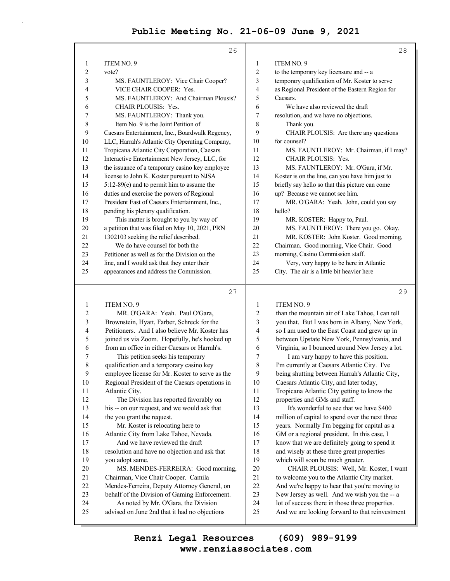|                | 26                                              |                | 28                                              |
|----------------|-------------------------------------------------|----------------|-------------------------------------------------|
| 1              | ITEM NO. 9                                      | 1              | ITEM NO. 9                                      |
| $\overline{c}$ | vote?                                           | $\overline{2}$ | to the temporary key licensure and -- a         |
| 3              | MS. FAUNTLEROY: Vice Chair Cooper?              | 3              | temporary qualification of Mr. Koster to serve  |
| 4              | VICE CHAIR COOPER: Yes.                         | 4              | as Regional President of the Eastern Region for |
| 5              | MS. FAUNTLEROY: And Chairman Plousis?           | 5              | Caesars.                                        |
| 6              | <b>CHAIR PLOUSIS: Yes.</b>                      | 6              | We have also reviewed the draft                 |
| 7              | MS. FAUNTLEROY: Thank you.                      | 7              | resolution, and we have no objections.          |
| 8              | Item No. 9 is the Joint Petition of             | 8              | Thank you.                                      |
| 9              | Caesars Entertainment, Inc., Boardwalk Regency, | 9              | CHAIR PLOUSIS: Are there any questions          |
| 10             | LLC, Harrah's Atlantic City Operating Company,  | 10             | for counsel?                                    |
| 11             | Tropicana Atlantic City Corporation, Caesars    | 11             | MS. FAUNTLEROY: Mr. Chairman, if I may?         |
| 12             | Interactive Entertainment New Jersey, LLC, for  | 12             | <b>CHAIR PLOUSIS: Yes.</b>                      |
| 13             | the issuance of a temporary casino key employee | 13             | MS. FAUNTLEROY: Mr. O'Gara, if Mr.              |
| 14             | license to John K. Koster pursuant to NJSA      | 14             | Koster is on the line, can you have him just to |
| 15             | 5:12-89(e) and to permit him to assume the      | 15             | briefly say hello so that this picture can come |
| 16             | duties and exercise the powers of Regional      | 16             | up? Because we cannot see him.                  |
| 17             | President East of Caesars Entertainment, Inc.,  | 17             | MR. O'GARA: Yeah. John, could you say           |
| 18             | pending his plenary qualification.              | 18             | hello?                                          |
| 19             | This matter is brought to you by way of         | 19             | MR. KOSTER: Happy to, Paul.                     |
| 20             | a petition that was filed on May 10, 2021, PRN  | 20             | MS. FAUNTLEROY: There you go. Okay.             |
| 21             | 1302103 seeking the relief described.           | 21             | MR. KOSTER: John Koster. Good morning,          |
| 22             | We do have counsel for both the                 | 22             | Chairman. Good morning, Vice Chair. Good        |
| 23             | Petitioner as well as for the Division on the   | 23             | morning, Casino Commission staff.               |
| 24             | line, and I would ask that they enter their     | 24             | Very, very happy to be here in Atlantic         |
| 25             | appearances and address the Commission.         | 25             | City. The air is a little bit heavier here      |
|                | 27                                              |                | 29                                              |
| 1              | ITEM NO. 9                                      | 1              | ITEM NO. 9                                      |
| $\overline{c}$ | MR. O'GARA: Yeah. Paul O'Gara,                  | 2              | than the mountain air of Lake Tahoe, I can tell |
| 3              | Brownstein, Hyatt, Farber, Schreck for the      | 3              | you that. But I was born in Albany, New York,   |
| 4              | Petitioners. And I also believe Mr. Koster has  | 4              | so I am used to the East Coast and grew up in   |
| 5              | joined us via Zoom. Hopefully, he's hooked up   | 5              | between Upstate New York, Pennsylvania, and     |

| 4  | Petitioners. And I also believe Mr. Koster has  | 4  | so I am used to the East Coast and grew up in   |
|----|-------------------------------------------------|----|-------------------------------------------------|
| 5  | joined us via Zoom. Hopefully, he's hooked up   | 5  | between Upstate New York, Pennsylvania, and     |
| 6  | from an office in either Caesars or Harrah's.   | 6  | Virginia, so I bounced around New Jersey a lot. |
|    | This petition seeks his temporary               | 7  | I am vary happy to have this position.          |
| 8  | qualification and a temporary casino key        | 8  | I'm currently at Caesars Atlantic City. I've    |
| 9  | employee license for Mr. Koster to serve as the | 9  | being shutting between Harrah's Atlantic City,  |
| 10 | Regional President of the Caesars operations in | 10 | Caesars Atlantic City, and later today,         |
| 11 | Atlantic City.                                  | 11 | Tropicana Atlantic City getting to know the     |
| 12 | The Division has reported favorably on          | 12 | properties and GMs and staff.                   |
| 13 | his -- on our request, and we would ask that    | 13 | It's wonderful to see that we have \$400        |
| 14 | the you grant the request.                      | 14 | million of capital to spend over the next three |
| 15 | Mr. Koster is relocating here to                | 15 | years. Normally I'm begging for capital as a    |
| 16 | Atlantic City from Lake Tahoe, Nevada.          | 16 | GM or a regional president. In this case, I     |
| 17 | And we have reviewed the draft                  | 17 | know that we are definitely going to spend it   |
| 18 | resolution and have no objection and ask that   | 18 | and wisely at these three great properties      |
| 19 | you adopt same.                                 | 19 | which will soon be much greater.                |
| 20 | MS. MENDES-FERREIRA: Good morning,              | 20 | CHAIR PLOUSIS: Well, Mr. Koster, I want         |
| 21 | Chairman, Vice Chair Cooper. Camila             | 21 | to welcome you to the Atlantic City market.     |
| 22 | Mendes-Ferreira, Deputy Attorney General, on    | 22 | And we're happy to hear that you're moving to   |
| 23 | behalf of the Division of Gaming Enforcement.   | 23 | New Jersey as well. And we wish you the -- a    |
| 24 | As noted by Mr. O'Gara, the Division            | 24 | lot of success there in those three properties. |
| 25 | advised on June 2nd that it had no objections   | 25 | And we are looking forward to that reinvestment |
|    |                                                 |    |                                                 |

**www.renziassociates.com Renzi Legal Resources (609) 989-9199**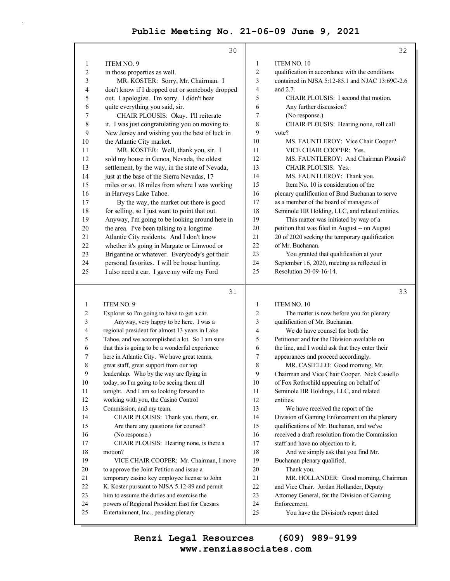|                  | 30                                              |                  | 32                                              |
|------------------|-------------------------------------------------|------------------|-------------------------------------------------|
| 1                | <b>ITEM NO. 9</b>                               | $\mathbf{1}$     | ITEM NO. 10                                     |
| $\overline{c}$   | in those properties as well.                    | 2                | qualification in accordance with the conditions |
| 3                | MR. KOSTER: Sorry, Mr. Chairman. I              | 3                | contained in NJSA 5:12-85.1 and NJAC 13:69C-2.6 |
| 4                | don't know if I dropped out or somebody dropped | 4                | and 2.7.                                        |
| 5                | out. I apologize. I'm sorry. I didn't hear      | 5                | CHAIR PLOUSIS: I second that motion.            |
| 6                | quite everything you said, sir.                 | 6                | Any further discussion?                         |
| 7                | CHAIR PLOUSIS: Okay. I'll reiterate             | 7                | (No response.)                                  |
| 8                | it. I was just congratulating you on moving to  | 8                | CHAIR PLOUSIS: Hearing none, roll call          |
| 9                | New Jersey and wishing you the best of luck in  | 9                | vote?                                           |
| 10               | the Atlantic City market.                       | 10               | MS. FAUNTLEROY: Vice Chair Cooper?              |
| 11               | MR. KOSTER: Well, thank you, sir. I             | 11               | VICE CHAIR COOPER: Yes.                         |
| 12               | sold my house in Genoa, Nevada, the oldest      | 12               | MS. FAUNTLEROY: And Chairman Plousis?           |
| 13               | settlement, by the way, in the state of Nevada, | 13               | CHAIR PLOUSIS: Yes.                             |
| 14               | just at the base of the Sierra Nevadas, 17      | 14               | MS. FAUNTLEROY: Thank you.                      |
| 15               | miles or so, 18 miles from where I was working  | 15               | Item No. 10 is consideration of the             |
| 16               | in Harveys Lake Tahoe.                          | 16               | plenary qualification of Brad Buchanan to serve |
| 17               | By the way, the market out there is good        | 17               | as a member of the board of managers of         |
| 18               | for selling, so I just want to point that out.  | 18               | Seminole HR Holding, LLC, and related entities. |
| 19               | Anyway, I'm going to be looking around here in  | 19               | This matter was initiated by way of a           |
| 20               | the area. I've been talking to a longtime       | 20               | petition that was filed in August -- on August  |
| 21               | Atlantic City residents. And I don't know       | 21               | 20 of 2020 seeking the temporary qualification  |
| 22               | whether it's going in Margate or Linwood or     | 22               | of Mr. Buchanan.                                |
| 23               | Brigantine or whatever. Everybody's got their   | 23               | You granted that qualification at your          |
| 24               | personal favorites. I will be house hunting.    | 24               | September 16, 2020, meeting as reflected in     |
| 25               | I also need a car. I gave my wife my Ford       | 25               | Resolution 20-09-16-14.                         |
|                  |                                                 |                  |                                                 |
|                  | 31                                              |                  | 33                                              |
| 1                | ITEM NO. 9                                      | 1                | ITEM NO. 10                                     |
| $\overline{c}$   | Explorer so I'm going to have to get a car.     | $\boldsymbol{2}$ | The matter is now before you for plenary        |
| 3                | Anyway, very happy to be here. I was a          | 3                | qualification of Mr. Buchanan.                  |
| 4                | regional president for almost 13 years in Lake  | 4                | We do have counsel for both the                 |
| 5                | Tahoe, and we accomplished a lot. So I am sure  | 5                | Petitioner and for the Division available on    |
| 6                | that this is going to be a wonderful experience | 6                | the line, and I would ask that they enter their |
| 7                | here in Atlantic City. We have great teams,     | 7                | appearances and proceed accordingly.            |
| 8                | great staff, great support from our top         | 8                | MR. CASIELLO: Good morning, Mr.                 |
| $\boldsymbol{9}$ | leadership. Who by the way are flying in        | $\overline{9}$   | Chairman and Vice Chair Cooper. Nick Casiello   |
| $10\,$           | today, so I'm going to be seeing them all       | $10\,$           | of Fox Rothschild appearing on behalf of        |
| 11               | tonight. And I am so looking forward to         | 11               | Seminole HR Holdings, LLC, and related          |
| 12               | working with you, the Casino Control            | 12               | entities.                                       |
| 13               | Commission, and my team.                        | 13               | We have received the report of the              |
| 14               | CHAIR PLOUSIS: Thank you, there, sir.           | 14               | Division of Gaming Enforcement on the plenary   |
| 15               | Are there any questions for counsel?            | 15               | qualifications of Mr. Buchanan, and we've       |
| 16               | (No response.)                                  | 16               | received a draft resolution from the Commission |
| $17\,$           | CHAIR PLOUSIS: Hearing none, is there a         | 17               | staff and have no objection to it.              |
| $18\,$           | motion?                                         | 18               | And we simply ask that you find Mr.             |
| 19               | VICE CHAIR COOPER: Mr. Chairman, I move         | 19               | Buchanan plenary qualified.                     |

19 Buchanan plenary qualified. 20 Thank you.

21 MR. HOLLANDER: Good morning, Chairman

- 22 and Vice Chair. Jordan Hollander, Deputy
- 23 Attorney General, for the Division of Gaming
- 24 Enforcement.
- 25 You have the Division's report dated

# **www.renziassociates.com Renzi Legal Resources (609) 989-9199**

20 to approve the Joint Petition and issue a 21 temporary casino key employee license to John 22 K. Koster pursuant to NJSA 5:12-89 and permit 23 him to assume the duties and exercise the 24 powers of Regional President East for Caesars

25 Entertainment, Inc., pending plenary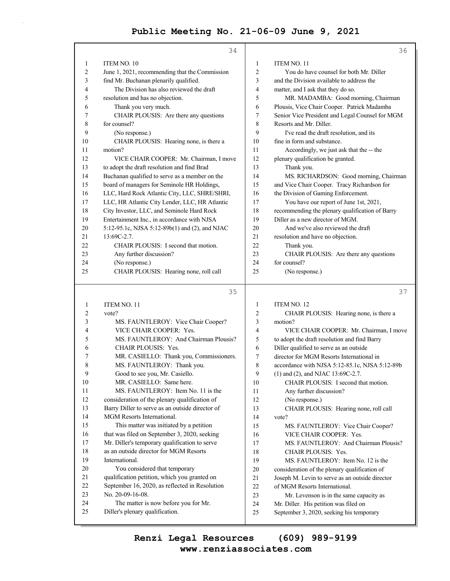|    | 34                                             |    | 36                                              |
|----|------------------------------------------------|----|-------------------------------------------------|
| 1  | ITEM NO. 10                                    | 1  | <b>ITEM NO. 11</b>                              |
| 2  | June 1, 2021, recommending that the Commission | 2  | You do have counsel for both Mr. Diller         |
| 3  | find Mr. Buchanan plenarily qualified.         | 3  | and the Division available to address the       |
| 4  | The Division has also reviewed the draft       | 4  | matter, and I ask that they do so.              |
| 5  | resolution and has no objection.               | 5  | MR. MADAMBA: Good morning, Chairman             |
| 6  | Thank you very much.                           | 6  | Plousis, Vice Chair Cooper. Patrick Madamba     |
| 7  | CHAIR PLOUSIS: Are there any questions         | 7  | Senior Vice President and Legal Counsel for MGM |
| 8  | for counsel?                                   | 8  | Resorts and Mr. Diller.                         |
| 9  | (No response.)                                 | 9  | I've read the draft resolution, and its         |
| 10 | CHAIR PLOUSIS: Hearing none, is there a        | 10 | fine in form and substance.                     |
| 11 | motion?                                        | 11 | Accordingly, we just ask that the -- the        |
| 12 | VICE CHAIR COOPER: Mr. Chairman, I move        | 12 | plenary qualification be granted.               |
| 13 | to adopt the draft resolution and find Brad    | 13 | Thank you.                                      |
| 14 | Buchanan qualified to serve as a member on the | 14 | MS. RICHARDSON: Good morning, Chairman          |
| 15 | board of managers for Seminole HR Holdings,    | 15 | and Vice Chair Cooper. Tracy Richardson for     |
| 16 | LLC, Hard Rock Atlantic City, LLC, SHRE/SHRI,  | 16 | the Division of Gaming Enforcement.             |
| 17 | LLC, HR Atlantic City Lender, LLC, HR Atlantic | 17 | You have our report of June 1st, 2021,          |
| 18 | City Investor, LLC, and Seminole Hard Rock     | 18 | recommending the plenary qualification of Barry |
| 19 | Entertainment Inc., in accordance with NJSA    | 19 | Diller as a new director of MGM.                |
| 20 | 5:12-95.1c, NJSA 5:12-89b(1) and (2), and NJAC | 20 | And we've also reviewed the draft               |
| 21 | $13:69C-2.7$ .                                 | 21 | resolution and have no objection.               |
| 22 | CHAIR PLOUSIS: I second that motion.           | 22 | Thank you.                                      |
| 23 | Any further discussion?                        | 23 | CHAIR PLOUSIS: Are there any questions          |
| 24 | (No response.)                                 | 24 | for counsel?                                    |
| 25 | CHAIR PLOUSIS: Hearing none, roll call         | 25 | (No response.)                                  |
|    |                                                |    |                                                 |

#### $35$

37

| 1              | <b>ITEM NO. 11</b>                              | 1              | <b>ITEM NO. 12</b>                              |
|----------------|-------------------------------------------------|----------------|-------------------------------------------------|
| $\overline{c}$ | vote?                                           | $\overline{c}$ | CHAIR PLOUSIS: Hearing none, is there a         |
| 3              | MS. FAUNTLEROY: Vice Chair Cooper?              | 3              | motion?                                         |
| $\overline{4}$ | VICE CHAIR COOPER: Yes.                         | 4              | VICE CHAIR COOPER: Mr. Chairman, I move         |
| 5              | MS. FAUNTLEROY: And Chairman Plousis?           | 5              | to adopt the draft resolution and find Barry    |
| 6              | <b>CHAIR PLOUSIS: Yes.</b>                      | 6              | Diller qualified to serve as an outside         |
| 7              | MR. CASIELLO: Thank you, Commissioners.         | 7              | director for MGM Resorts International in       |
| 8              | MS. FAUNTLEROY: Thank you.                      | 8              | accordance with NJSA 5:12-85.1c, NJSA 5:12-89b  |
| 9              | Good to see you, Mr. Casiello.                  | 9              | $(1)$ and $(2)$ , and NJAC 13:69C-2.7.          |
| 10             | MR. CASIELLO: Same here.                        | 10             | CHAIR PLOUSIS: I second that motion.            |
| 11             | MS. FAUNTLEROY: Item No. 11 is the              | 11             | Any further discussion?                         |
| 12             | consideration of the plenary qualification of   | 12             | (No response.)                                  |
| 13             | Barry Diller to serve as an outside director of | 13             | CHAIR PLOUSIS: Hearing none, roll call          |
| 14             | MGM Resorts International.                      | 14             | vote?                                           |
| 15             | This matter was initiated by a petition         | 15             | MS. FAUNTLEROY: Vice Chair Cooper?              |
| 16             | that was filed on September 3, 2020, seeking    | 16             | VICE CHAIR COOPER: Yes.                         |
| 17             | Mr. Diller's temporary qualification to serve   | 17             | MS. FAUNTLEROY: And Chairman Plousis?           |
| 18             | as an outside director for MGM Resorts          | 18             | CHAIR PLOUSIS: Yes.                             |
| 19             | International.                                  | 19             | MS. FAUNTLEROY: Item No. 12 is the              |
| 20             | You considered that temporary                   | 20             | consideration of the plenary qualification of   |
| 21             | qualification petition, which you granted on    | 21             | Joseph M. Levin to serve as an outside director |
| 22             | September 16, 2020, as reflected in Resolution  | 22             | of MGM Resorts International.                   |
| 23             | No. 20-09-16-08.                                | 23             | Mr. Levenson is in the same capacity as         |
| 24             | The matter is now before you for Mr.            | 24             | Mr. Diller. His petition was filed on           |
| 25             | Diller's plenary qualification.                 | 25             | September 3, 2020, seeking his temporary        |
|                |                                                 |                |                                                 |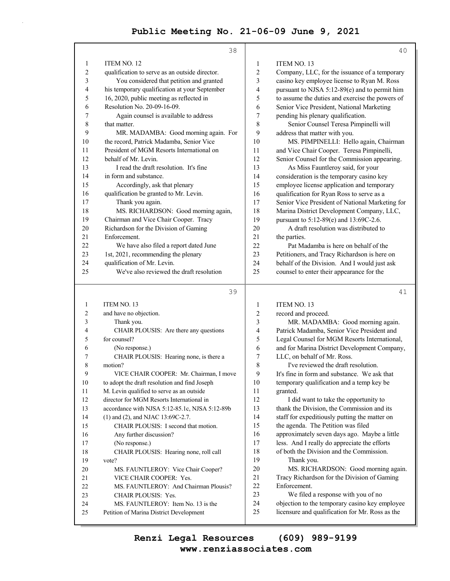|                | 38                                             |                | 40                                                                                   |
|----------------|------------------------------------------------|----------------|--------------------------------------------------------------------------------------|
| 1              | ITEM NO. 12                                    | 1              | ITEM NO. 13                                                                          |
| $\overline{c}$ | qualification to serve as an outside director. | $\overline{c}$ | Company, LLC, for the issuance of a temporary                                        |
| 3              | You considered that petition and granted       | 3              | casino key employee license to Ryan M. Ross                                          |
| 4              | his temporary qualification at your September  | 4              | pursuant to NJSA 5:12-89(e) and to permit him                                        |
| 5              | 16, 2020, public meeting as reflected in       | 5              | to assume the duties and exercise the powers of                                      |
| 6              | Resolution No. 20-09-16-09.                    | 6              | Senior Vice President, National Marketing                                            |
| 7              | Again counsel is available to address          | 7              | pending his plenary qualification.                                                   |
| $\,$ $\,$      | that matter.                                   | 8              | Senior Counsel Teresa Pimpinelli will                                                |
| 9              | MR. MADAMBA: Good morning again. For           | 9              | address that matter with you.                                                        |
| 10             | the record, Patrick Madamba, Senior Vice       | 10             | MS. PIMPINELLI: Hello again, Chairman                                                |
| 11             | President of MGM Resorts International on      | 11             | and Vice Chair Cooper. Teresa Pimpinelli,                                            |
| 12             | behalf of Mr. Levin.                           | 12             | Senior Counsel for the Commission appearing.                                         |
| 13             | I read the draft resolution. It's fine         | 13             | As Miss Fauntleroy said, for your                                                    |
| 14             | in form and substance.                         | 14             | consideration is the temporary casino key                                            |
| 15             | Accordingly, ask that plenary                  | 15             | employee license application and temporary                                           |
| 16             | qualification be granted to Mr. Levin.         | 16             | qualification for Ryan Ross to serve as a                                            |
| 17             | Thank you again.                               | 17             | Senior Vice President of National Marketing for                                      |
| 18             | MS. RICHARDSON: Good morning again,            | 18             | Marina District Development Company, LLC,                                            |
| 19             | Chairman and Vice Chair Cooper. Tracy          | 19             | pursuant to 5:12-89(e) and 13:69C-2.6.                                               |
| 20             | Richardson for the Division of Gaming          | 20             | A draft resolution was distributed to                                                |
| 21             | Enforcement.                                   | 21             | the parties.                                                                         |
| 22             | We have also filed a report dated June         | 22             | Pat Madamba is here on behalf of the                                                 |
| 23             | 1st, 2021, recommending the plenary            | 23             | Petitioners, and Tracy Richardson is here on                                         |
| 24             | qualification of Mr. Levin.                    | 24             | behalf of the Division. And I would just ask                                         |
| 25             | We've also reviewed the draft resolution       | 25             | counsel to enter their appearance for the                                            |
|                | 39                                             |                | 41                                                                                   |
| 1              | ITEM NO. 13                                    | 1              | ITEM NO. 13                                                                          |
| 2              | and have no objection.                         | 2              | record and proceed.                                                                  |
| 3              | Thank you.                                     | 3              | MR. MADAMBA: Good morning again.                                                     |
| 4              | CHAIR PLOUSIS: Are there any questions         | 4              | Patrick Madamba, Senior Vice President and                                           |
| 5              | for counsel?                                   | 5              | Legal Counsel for MGM Resorts International,                                         |
| 6              | (No response.)                                 | 6              | and for Marina District Development Company,                                         |
| 7              | CHAIR PLOUSIS: Hearing none, is there a        | 7              | LLC, on behalf of Mr. Ross.                                                          |
| 8              | motion?                                        | 8              | I've reviewed the draft resolution.                                                  |
| 9              | VICE CHAIR COOPER: Mr. Chairman, I move        | 9              | It's fine in form and substance. We ask that                                         |
| $10\,$         | to adopt the draft resolution and find Joseph  | 10             | temporary qualification and a temp key be                                            |
| 11             | M. Levin qualified to serve as an outside      | 11             | granted.                                                                             |
| 12             | director for MGM Resorts International in      | 12             | I did want to take the opportunity to                                                |
| 13             | accordance with NJSA 5:12-85.1c, NJSA 5:12-89b | 13             | thank the Division, the Commission and its                                           |
| 14             | (1) and (2), and NJAC 13:69C-2.7.              | 14             | staff for expeditiously putting the matter on                                        |
| 15             | CHAIR PLOUSIS: I second that motion.           | 15             | the agenda. The Petition was filed                                                   |
| 16             |                                                | 16             | approximately seven days ago. Maybe a little                                         |
| 17             | Any further discussion?                        |                |                                                                                      |
|                | (No response.)                                 | 17             | less. And I really do appreciate the efforts                                         |
| $18\,$         | CHAIR PLOUSIS: Hearing none, roll call         | 18             | of both the Division and the Commission.                                             |
| 19             | vote?                                          | 19             | Thank you.                                                                           |
| 20             | MS. FAUNTLEROY: Vice Chair Cooper?             | 20             | MS. RICHARDSON: Good morning again.                                                  |
| 21             | VICE CHAIR COOPER: Yes.                        | 21             | Tracy Richardson for the Division of Gaming                                          |
| 22             | MS. FAUNTLEROY: And Chairman Plousis?          | 22             | Enforcement.                                                                         |
| 23             | <b>CHAIR PLOUSIS: Yes.</b>                     | 23<br>24       | We filed a response with you of no<br>objection to the temporary casino key employee |

**www.renziassociates.com Renzi Legal Resources (609) 989-9199**

25 licensure and qualification for Mr. Ross as the

25 Petition of Marina District Development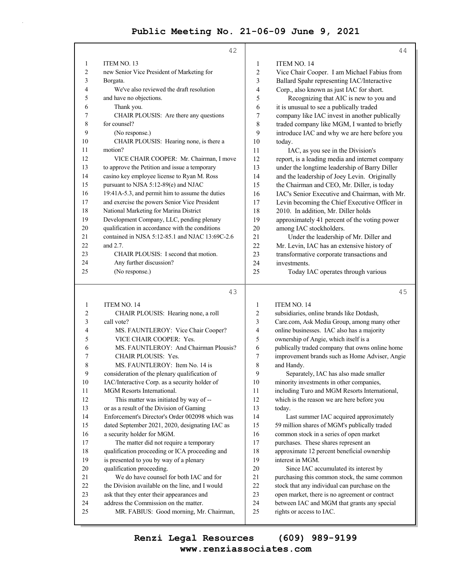|                | 42                                              |                | 44                                                  |
|----------------|-------------------------------------------------|----------------|-----------------------------------------------------|
| 1              | ITEM NO. 13                                     | 1              | <b>ITEM NO. 14</b>                                  |
| $\overline{c}$ | new Senior Vice President of Marketing for      | $\overline{2}$ | Vice Chair Cooper. I am Michael Fabius from         |
| 3              | Borgata.                                        | 3              | Ballard Spahr representing IAC/Interactive          |
| 4              | We've also reviewed the draft resolution        | 4              | Corp., also known as just IAC for short.            |
| 5              | and have no objections.                         | 5              | Recognizing that AIC is new to you and              |
| 6              | Thank you.                                      | 6              | it is unusual to see a publically traded            |
| 7              | CHAIR PLOUSIS: Are there any questions          | 7              | company like IAC invest in another publically       |
| 8              | for counsel?                                    | 8              | traded company like MGM, I wanted to briefly        |
| 9              | (No response.)                                  | 9              | introduce IAC and why we are here before you        |
| 10             | CHAIR PLOUSIS: Hearing none, is there a         | 10             | today.                                              |
| 11             | motion?                                         | 11             | IAC, as you see in the Division's                   |
| 12             | VICE CHAIR COOPER: Mr. Chairman, I move         | 12             | report, is a leading media and internet company     |
| 13             | to approve the Petition and issue a temporary   | 13             | under the longtime leadership of Barry Diller       |
| 14             | casino key employee license to Ryan M. Ross     | 14             | and the leadership of Joey Levin. Originally        |
| 15             | pursuant to NJSA 5:12-89(e) and NJAC            | 15             | the Chairman and CEO, Mr. Diller, is today          |
| 16             | 19:41A-5.3, and permit him to assume the duties | 16             | IAC's Senior Executive and Chairman, with Mr.       |
| 17             | and exercise the powers Senior Vice President   | 17             | Levin becoming the Chief Executive Officer in       |
| 18             | National Marketing for Marina District          | 18             | 2010. In addition, Mr. Diller holds                 |
| 19             | Development Company, LLC, pending plenary       | 19             | approximately 41 percent of the voting power        |
| 20             | qualification in accordance with the conditions | 20             | among IAC stockholders.                             |
| 21             | contained in NJSA 5:12-85.1 and NJAC 13:69C-2.6 | 21             | Under the leadership of Mr. Diller and              |
| 22             | and 2.7.                                        | 22             | Mr. Levin, IAC has an extensive history of          |
| 23             | CHAIR PLOUSIS: I second that motion.            | 23             | transformative corporate transactions and           |
| 24             | Any further discussion?                         | 24             | investments.                                        |
| 25             | (No response.)                                  | 25             | Today IAC operates through various                  |
|                | 43                                              |                | 45                                                  |
| 1              | ITEM NO. 14                                     | $\mathbf{1}$   | ITEM NO. 14                                         |
| 2              | CHAIR PLOUSIS: Hearing none, a roll             | 2              | subsidiaries, online brands like Dotdash,           |
| 3              | call vote?                                      | 3              | Care.com, Ask Media Group, among many other         |
| 4              | MS. FAUNTLEROY: Vice Chair Cooper?              | 4              | online businesses. IAC also has a majority          |
| 5              | VICE CHAIR COOPER: Yes.                         | 5              | ownership of Angie, which itself is a               |
| L              | MC EALIMTHEDOV, And Chairman Blongie?           | c              | auktioothy too dad aannaan y that aynaa antina hama |

6 MS. FAUNTLEROY: And Chairman Plousis? 7 CHAIR PLOUSIS: Yes. 8 MS. FAUNTLEROY: Item No. 14 is 9 consideration of the plenary qualification of 10 IAC/Interactive Corp. as a security holder of 11 MGM Resorts International. 12 This matter was initiated by way of -- 13 or as a result of the Division of Gaming 14 Enforcement's Director's Order 002098 which was 15 dated September 2021, 2020, designating IAC as 16 a security holder for MGM. 17 The matter did not require a temporary 18 qualification proceeding or ICA proceeding and 19 is presented to you by way of a plenary 20 qualification proceeding. 21 We do have counsel for both IAC and for 22 the Division available on the line, and I would 23 ask that they enter their appearances and 24 address the Commission on the matter. 25 MR. FABIUS: Good morning, Mr. Chairman, 6 publically traded company that owns online home 7 improvement brands such as Home Adviser, Angie 8 and Handy. 9 Separately, IAC has also made smaller 10 minority investments in other companies, 11 including Turo and MGM Resorts International, 12 which is the reason we are here before you 13 today. 14 Last summer IAC acquired approximately 15 59 million shares of MGM's publically traded 16 common stock in a series of open market 17 purchases. These shares represent an 18 approximate 12 percent beneficial ownership 19 interest in MGM. 20 Since IAC accumulated its interest by 21 purchasing this common stock, the same common 22 stock that any individual can purchase on the 23 open market, there is no agreement or contract 24 between IAC and MGM that grants any special 25 rights or access to IAC.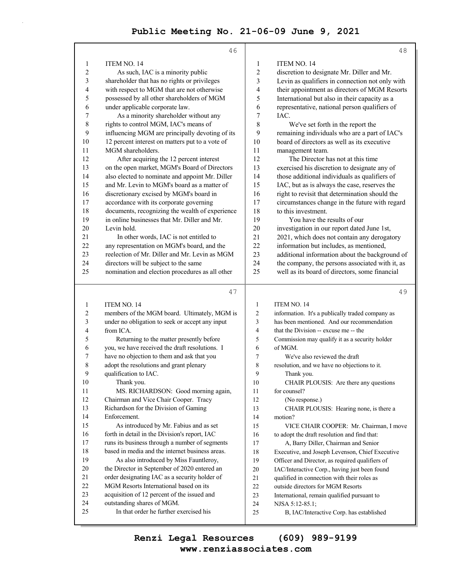|                | 46                                                                                              |              | 48                                                                                      |
|----------------|-------------------------------------------------------------------------------------------------|--------------|-----------------------------------------------------------------------------------------|
| 1              | <b>ITEM NO. 14</b>                                                                              | $\mathbf{1}$ | ITEM NO. 14                                                                             |
| $\overline{2}$ | As such, IAC is a minority public                                                               | 2            | discretion to designate Mr. Diller and Mr.                                              |
| 3              | shareholder that has no rights or privileges                                                    | 3            | Levin as qualifiers in connection not only with                                         |
| 4              | with respect to MGM that are not otherwise                                                      | 4            | their appointment as directors of MGM Resorts                                           |
| 5              | possessed by all other shareholders of MGM                                                      | 5            | International but also in their capacity as a                                           |
| 6              | under applicable corporate law.                                                                 | 6            | representative, national person qualifiers of                                           |
| 7              | As a minority shareholder without any                                                           | 7            | IAC.                                                                                    |
| 8              | rights to control MGM, IAC's means of                                                           | 8            | We've set forth in the report the                                                       |
| 9              | influencing MGM are principally devoting of its                                                 | 9            | remaining individuals who are a part of IAC's                                           |
| 10             | 12 percent interest on matters put to a vote of                                                 | 10           | board of directors as well as its executive                                             |
| 11             | MGM shareholders.                                                                               | 11           | management team.                                                                        |
| 12             | After acquiring the 12 percent interest                                                         | 12           | The Director has not at this time                                                       |
| 13             | on the open market, MGM's Board of Directors                                                    | 13           | exercised his discretion to designate any of                                            |
| 14             | also elected to nominate and appoint Mr. Diller                                                 | 14           | those additional individuals as qualifiers of                                           |
| 15             | and Mr. Levin to MGM's board as a matter of                                                     | 15           | IAC, but as is always the case, reserves the                                            |
| 16             | discretionary excised by MGM's board in                                                         | 16           | right to revisit that determination should the                                          |
| 17             | accordance with its corporate governing                                                         | 17<br>18     | circumstances change in the future with regard<br>to this investment.                   |
| 18<br>19       | documents, recognizing the wealth of experience<br>in online businesses that Mr. Diller and Mr. | 19           | You have the results of our                                                             |
| 20             | Levin hold.                                                                                     | 20           | investigation in our report dated June 1st,                                             |
| 21             | In other words, IAC is not entitled to                                                          | 21           | 2021, which does not contain any derogatory                                             |
| 22             | any representation on MGM's board, and the                                                      | 22           | information but includes, as mentioned,                                                 |
| 23             | reelection of Mr. Diller and Mr. Levin as MGM                                                   | 23           | additional information about the background of                                          |
| 24             | directors will be subject to the same                                                           | 24           | the company, the persons associated with it, as                                         |
| 25             | nomination and election procedures as all other                                                 | 25           | well as its board of directors, some financial                                          |
|                |                                                                                                 |              |                                                                                         |
|                | 47                                                                                              |              | 49                                                                                      |
| $\mathbf{1}$   | ITEM NO. 14                                                                                     | $\mathbf{1}$ | <b>ITEM NO. 14</b>                                                                      |
|                |                                                                                                 |              |                                                                                         |
| 2              | members of the MGM board. Ultimately, MGM is                                                    | 2            | information. It's a publically traded company as                                        |
| 3              | under no obligation to seek or accept any input                                                 | 3            | has been mentioned. And our recommendation                                              |
| 4              | from ICA.                                                                                       | 4            | that the Division -- excuse me -- the                                                   |
| 5              | Returning to the matter presently before                                                        | 5            | Commission may qualify it as a security holder                                          |
| 6              | you, we have received the draft resolutions. I                                                  | 6            | of MGM.                                                                                 |
| 7              | have no objection to them and ask that you                                                      | 7            | We've also reviewed the draft                                                           |
| 8              | adopt the resolutions and grant plenary                                                         | 8            | resolution, and we have no objections to it.                                            |
| 9              | qualification to IAC.                                                                           | 9            | Thank you.                                                                              |
| 10             | Thank you.                                                                                      | 10           | CHAIR PLOUSIS: Are there any questions                                                  |
| 11             | MS. RICHARDSON: Good morning again,                                                             | 11           | for counsel?                                                                            |
| 12             | Chairman and Vice Chair Cooper. Tracy                                                           | 12           | (No response.)                                                                          |
| 13<br>14       | Richardson for the Division of Gaming<br>Enforcement.                                           | 13           | CHAIR PLOUSIS: Hearing none, is there a<br>motion?                                      |
|                |                                                                                                 | 14           |                                                                                         |
| 15<br>16       | As introduced by Mr. Fabius and as set<br>forth in detail in the Division's report, IAC         | 15           | VICE CHAIR COOPER: Mr. Chairman, I move                                                 |
| 17             | runs its business through a number of segments                                                  | 16<br>17     | to adopt the draft resolution and find that:                                            |
| 18             | based in media and the internet business areas.                                                 | 18           | A, Barry Diller, Chairman and Senior<br>Executive, and Joseph Levenson, Chief Executive |
| 19             | As also introduced by Miss Fauntleroy,                                                          | 19           | Officer and Director, as required qualifiers of                                         |
| 20             | the Director in September of 2020 entered an                                                    | 20           | IAC/Interactive Corp., having just been found                                           |
| 21             | order designating IAC as a security holder of                                                   | 21           | qualified in connection with their roles as                                             |
| 22             | MGM Resorts International based on its                                                          | 22           | outside directors for MGM Resorts                                                       |
| 23             | acquisition of 12 percent of the issued and                                                     | 23           | International, remain qualified pursuant to                                             |
| 24<br>25       | outstanding shares of MGM.<br>In that order he further exercised his                            | 24<br>25     | NJSA 5:12-85.1;<br>B, IAC/Interactive Corp. has established                             |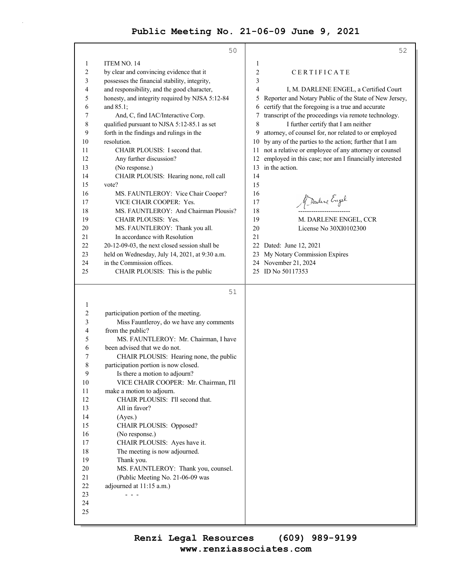|              | 50                                                            | 52                                                           |
|--------------|---------------------------------------------------------------|--------------------------------------------------------------|
| 1            | ITEM NO. 14                                                   | 1                                                            |
| 2            | by clear and convincing evidence that it                      | $\overline{2}$<br>CERTIFICATE                                |
| 3            | possesses the financial stability, integrity,                 | 3                                                            |
| 4            | and responsibility, and the good character,                   | 4<br>I, M. DARLENE ENGEL, a Certified Court                  |
| 5            | honesty, and integrity required by NJSA 5:12-84               | Reporter and Notary Public of the State of New Jersey,<br>5  |
| 6            | and 85.1;                                                     | certify that the foregoing is a true and accurate<br>6       |
| 7            | And, C, find IAC/Interactive Corp.                            | transcript of the proceedings via remote technology.<br>7    |
| 8            | qualified pursuant to NJSA 5:12-85.1 as set                   | I further certify that I am neither<br>8                     |
| 9            | forth in the findings and rulings in the                      | attorney, of counsel for, nor related to or employed<br>9    |
| 10           | resolution.                                                   | by any of the parties to the action; further that I am<br>10 |
| 11           | CHAIR PLOUSIS: I second that.                                 | not a relative or employee of any attorney or counsel<br>11  |
| 12           | Any further discussion?                                       | employed in this case; nor am I financially interested<br>12 |
| 13           | (No response.)                                                | in the action.<br>13                                         |
| 14           | CHAIR PLOUSIS: Hearing none, roll call                        | 14                                                           |
| 15           | vote?                                                         | 15                                                           |
| 16           | MS. FAUNTLEROY: Vice Chair Cooper?                            | 16                                                           |
| 17           | VICE CHAIR COOPER: Yes.                                       | Marline Engel<br>17                                          |
| 18           | MS. FAUNTLEROY: And Chairman Plousis?                         | 18                                                           |
| 19           | <b>CHAIR PLOUSIS: Yes.</b>                                    | 19<br>M. DARLENE ENGEL, CCR                                  |
| 20           | MS. FAUNTLEROY: Thank you all.                                | 20<br>License No 30XI0102300                                 |
| 21           | In accordance with Resolution                                 | 21                                                           |
| 22           | 20-12-09-03, the next closed session shall be                 | 22<br>Dated: June 12, 2021                                   |
| 23           | held on Wednesday, July 14, 2021, at 9:30 a.m.                | My Notary Commission Expires<br>23                           |
| 24           | in the Commission offices.                                    | 24 November 21, 2024                                         |
| 25           | CHAIR PLOUSIS: This is the public                             | 25 ID No 50117353                                            |
|              |                                                               |                                                              |
|              | 51                                                            |                                                              |
| $\mathbf{1}$ |                                                               |                                                              |
| 2            | participation portion of the meeting.                         |                                                              |
| 3            | Miss Fauntleroy, do we have any comments                      |                                                              |
| 4            | from the public?                                              |                                                              |
| 5            | MS. FAUNTLEROY: Mr. Chairman, I have                          |                                                              |
| 6            | been advised that we do not.                                  |                                                              |
| 7            | CHAIR PLOUSIS: Hearing none, the public                       |                                                              |
| 8            | participation portion is now closed.                          |                                                              |
| 9<br>10      | Is there a motion to adjourn?                                 |                                                              |
|              | VICE CHAIR COOPER: Mr. Chairman, I'll                         |                                                              |
| 11<br>12     | make a motion to adjourn.<br>CHAIR PLOUSIS: I'll second that. |                                                              |
| 13           | All in favor?                                                 |                                                              |
| 14           | (Ayes.)                                                       |                                                              |
| 15           | CHAIR PLOUSIS: Opposed?                                       |                                                              |
| 16           | (No response.)                                                |                                                              |
| 17           | CHAIR PLOUSIS: Ayes have it.                                  |                                                              |
| 18           | The meeting is now adjourned.                                 |                                                              |
| 19           | Thank you.                                                    |                                                              |
| 20           | MS. FAUNTLEROY: Thank you, counsel.                           |                                                              |
| 21           | (Public Meeting No. 21-06-09 was                              |                                                              |
| 22           | adjourned at 11:15 a.m.)                                      |                                                              |
| 23           |                                                               |                                                              |
| 24           |                                                               |                                                              |
| 25           |                                                               |                                                              |
|              |                                                               |                                                              |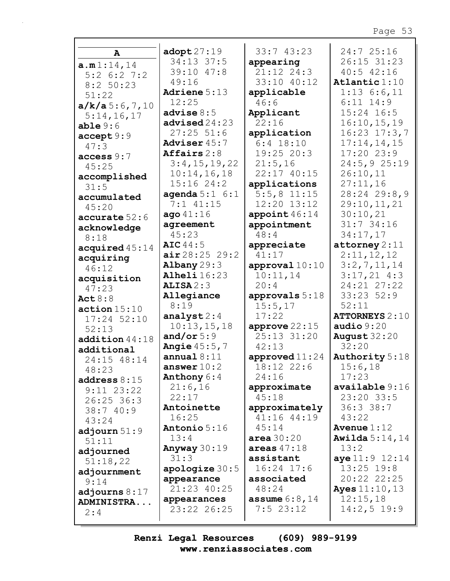| A                    | $\texttt{adopt27:19}$ | 33:743:23         | 24:7 25:16               |
|----------------------|-----------------------|-------------------|--------------------------|
| a.m1:14,14           | 34:13 37:5            | appearing         | 26:15 31:23              |
| $5:2$ 6:2 7:2        | 39:10 47:8            | $21:12$ $24:3$    | $40:5$ $42:16$           |
| 8:2 50:23            | 49:16                 | 33:10 40:12       | Atlantic $1:10$          |
| 51:22                | Adriene 5:13          | applicable        | $1:13$ 6:6,11            |
| a/k/a5:6,7,10        | 12:25                 | 46:6              | $6:11$ $14:9$            |
| 5:14,16,17           | advise $8:5$          | Applicant         | 15:24 16:5               |
| able 9:6             | advised24:23          | 22:16             | 16:10, 15, 19            |
| accept 9:9           | $27:25$ 51:6          | application       | $16:23$ $17:3,7$         |
| 47:3                 | Adviser 45:7          | $6:4$ 18:10       | 17:14,14,15              |
| access 9:7           | Affairs $2:8$         | $19:25$ 20:3      | 17:2023:9                |
| 45:25                | 3:4,15,19,22          | 21:5,16           | $24:5, 9$ 25:19          |
| accomplished         | 10:14,16,18           | 22:17 40:15       | 26:10,11                 |
| 31:5                 | 15:16 24:2            | applications      | 27:11,16                 |
| accumulated          | agenda $5:1 \t6:1$    | $5:5,8$ 11:15     | 28:24 29:8,9             |
| 45:20                | $7:1$ $41:15$         | 12:20 13:12       | 29:10,11,21              |
| accurate 52:6        | ago41:16              | appoint $46:14$   | 30:10,21                 |
| acknowledge          | agreement             | appointment       | $31:7$ 34:16             |
| 8:18                 | 45:23                 | 48:4              | 34:17,17                 |
| acquired45:14        | AIC 44:5              | appreciate        | $\texttt{attorney} 2:11$ |
| acquiring            | air28:2529:2          | 41:17             | 2:11,12,12               |
| 46:12                | Albany $29:3$         | approval $10:10$  | 3:2,7,11,14              |
|                      | Alheli 16:23          | 10:11,14          | $3:17,21$ 4:3            |
| acquisition<br>47:23 | ALISA2:3              | 20:4              | 24:21 27:22              |
| Act $8:8$            | Allegiance            | approvals 5:18    | $33:23$ $52:9$           |
| action 15:10         | 8:19                  | 15:5,17           | 52:11                    |
| 17:24 52:10          | analyst $2:4$         | 17:22             | <b>ATTORNEYS 2:10</b>    |
| 52:13                | 10:13,15,18           | approve $22:15$   | audio $9:20$             |
| addition 44:18       | and/or $5:9$          | 25:13 31:20       | August $32:20$           |
| additional           | <b>Angie</b> $45:5,7$ | 42:13             | 32:20                    |
| 24:15 48:14          | annual $8:11$         | approved $11:24$  | <b>Authority</b> 5:18    |
| 48:23                | answer $10:2$         | 18:12 22:6        | 15:6,18                  |
| address $8:15$       | Anthony $6:4$         | 24:16             | 17:23                    |
| $9:11$ $23:22$       | 21:6,16               | approximate       | available 9:16           |
| 26:25 36:3           | 22:17                 | 45:18             | $23:20$ 33:5             |
| 38:740:9             | Antoinette            | approximately     | 36:338:7                 |
| 43:24                | 16:25                 | 41:16 44:19       | 43:22                    |
| adjourn $51:9$       | Antonio 5:16          | 45:14             | Avenue $1:12$            |
| 51:11                | 13:4                  | area $30:20$      | <b>Awilda</b> $5:14,14$  |
|                      | Anyway $30:19$        | areas $47:18$     | 13:2                     |
| adjourned            | 31:3                  | assistant         | aye 11:9 12:14           |
| 51:18,22             | apologize $30:5$      | $16:24$ 17:6      | $13:25$ 19:8             |
| adjournment          | appearance            | associated        | 20:22 22:25              |
| 9:14                 | 21:23 40:25           | 48:24             | <b>Ayes</b> $11:10, 13$  |
| adjourns $8:17$      | appearances           | assume $6:8$ , 14 | 12:15,18                 |
| <b>ADMINISTRA</b>    | 23:22 26:25           | 7:523:12          | $14:2,5$ 19:9            |
| 2:4                  |                       |                   |                          |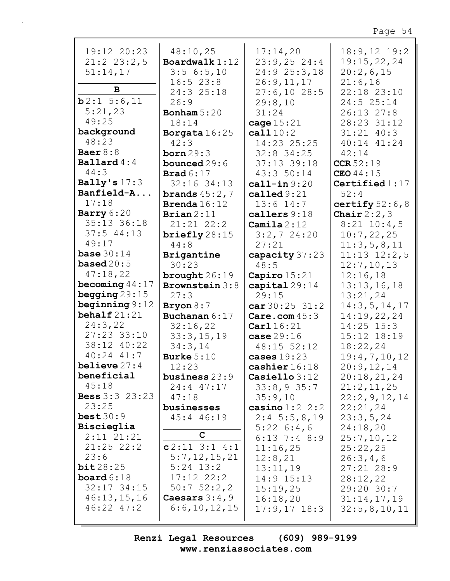| 19:12 20:23             | 48:10,25              | 17:14,20                  | $18:9,12$ 19:2     |
|-------------------------|-----------------------|---------------------------|--------------------|
| $21:2$ $23:2,5$         | Boardwalk $1:12$      | $23:9,25$ 24:4            | 19:15,22,24        |
| 51:14,17                | 3:56:5,10             | 24:9 25:3,18              | 20:2,6,15          |
|                         | 16:523:8              | 26:9,11,17                | 21:6,16            |
| B                       | 24:3 25:18            | 27:6,1028:5               | 22:18 23:10        |
| b2:15:6,11              | 26:9                  | 29:8,10                   | 24:5 25:14         |
| 5:21,23                 | Bonham $5:20$         | 31:24                     | 26:13 27:8         |
| 49:25                   | 18:14                 | cage $15:21$              | 28:23 31:12        |
| background              | Borgata 16:25         | cal 110:2                 | $31:21$ 40:3       |
| 48:23                   | 42:3                  | 14:23 25:25               | 40:14 41:24        |
| Baer $8:8$              | born $29:3$           | $32:8$ 34:25              | 42:14              |
| $\texttt{Ballard4:4}$   | bounced $29:6$        | 37:13 39:18               | CCR 52:19          |
| 44:3                    | <b>Brad</b> $6:17$    | 43:3 50:14                | CEO44:15           |
| Bally's $17:3$          | 32:16 34:13           | $cal1$ -in $9:20$         | Certified $1:17$   |
| Banfield-A              |                       | called $9:21$             | 52:4               |
| 17:18                   | brands $45:2,7$       |                           |                    |
|                         | <b>Brenda</b> $16:12$ | $13:6$ $14:7$             | certify $52:6$ , 8 |
| Barry $6:20$            | Brian $2:11$          | callers 9:18              | Chair $2:2,3$      |
| 35:13 36:18             | 21:21 22:2            | Camila $2:12$             | $8:21$ 10:4,5      |
| 37:544:13               | briefly $28:15$       | $3:2,7$ 24:20             | 10:7,22,25         |
| 49:17                   | 44:8                  | 27:21                     | 11:3,5,8,11        |
| base $30:14$            | Brigantine            | capacity 37:23            | $11:13$ $12:2,5$   |
| based $20:5$            | 30:23                 | 48:5                      | 12:7, 10, 13       |
| 47:18,22                | brought $26:19$       | Capiro $15:21$            | 12:16,18           |
| becoming $44:17$        | Brownstein 3:8        | capital $29:14$           | 13:13,16,18        |
| begging $29:15$         | 27:3                  | 29:15                     | 13:21,24           |
| beginning $9:12$        | Bryon $8:7$           | $car30:25$ 31:2           | 14:3,5,14,17       |
| behalf $21:21$          | Buchanan 6:17         | Care.com $45:3$           | 14:19,22,24        |
| 24:3,22                 | 32:16,22              | $\texttt{Carl} 16:21$     | $14:25$ $15:3$     |
| 27:23 33:10             | 33:3,15,19            | case $29:16$              | 15:12 18:19        |
| 38:12 40:22             | 34:3,14               | 48:15 52:12               | 18:22,24           |
| $40:24$ $41:7$          | Burke $5:10$          | cases $19:23$             | 19:4,7,10,12       |
| believe $27:4$          | 12:23                 | cashier 16:18             | 20:9,12,14         |
| beneficial              | business 23:9         | $\textbf{Casiello } 3:12$ | 20:18,21,24        |
| 45:18                   | $24:4$ $47:17$        | 33:8,935:7                | 21:2,11,25         |
| <b>Bess</b> $3:3$ 23:23 | 47:18                 | 35:9,10                   | 22:2, 9, 12, 14    |
| 23:25                   | businesses            | casino $1:2$ 2:2          | 22:21,24           |
| best30:9                |                       |                           |                    |
| Biscieglia              | 45:4 46:19            | $2:4\ 5:5,8,19$           | 23:3,5,24          |
| $2:11$ $21:21$          | C                     | $5:22 \t6:4,6$            | 24:18,20           |
|                         |                       | $6:13$ 7:4 8:9            | 25:7,10,12         |
| $21:25$ 22:2            | $c2:11$ 3:1 4:1       | 11:16,25                  | 25:22,25           |
| 23:6                    | 5:7,12,15,21          | 12:8,21                   | 26:3,4,6           |
| bit28:25                |                       |                           |                    |
|                         | $5:24$ 13:2           | 13:11,19                  | $27:21$ 28:9       |
| board $6:18$            | $17:12$ $22:2$        | $14:9$ $15:13$            | 28:12,22           |
| $32:17$ $34:15$         | $50:7$ $52:2,2$       | 15:19,25                  | 29:20 30:7         |
| 46:13,15,16             | Caesars $3:4,9$       | 16:18,20                  | 31:14,17,19        |
| $46:22$ $47:2$          | 6:6,10,12,15          | $17:9,17$ $18:3$          | 32:5, 8, 10, 11    |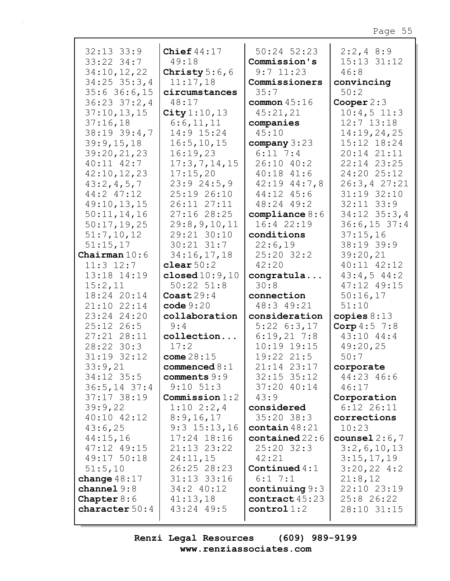| $32:13$ $33:9$<br>33:22 34:7<br>34:10,12,22<br>$34:25$ 35:3,4<br>$35:6$ 36:6,15 | Chief $44:17$<br>49:18<br>Christy $5:6,6$<br>11:17,18<br>circumstances | $50:24$ $52:23$<br>Commission's<br>$9:7$ 11:23<br>Commissioners<br>35:7 | $2:2,4$ 8:9<br>15:13 31:12<br>46:8<br>convincing<br>50:2 |
|---------------------------------------------------------------------------------|------------------------------------------------------------------------|-------------------------------------------------------------------------|----------------------------------------------------------|
| $36:23$ $37:2$ , 4                                                              | 48:17                                                                  | common $45:16$                                                          | Cooper $2:3$                                             |
| 37:10, 13, 15                                                                   | City $1:10, 13$                                                        | 45:21,21                                                                | $10:4,5$ 11:3                                            |
| 37:16,18                                                                        | 6:6,11,11                                                              | companies                                                               | $12:7$ $13:18$                                           |
| $38:19$ $39:4,7$                                                                | 14:9 15:24                                                             | 45:10                                                                   | 14:19,24,25                                              |
| 39:9,15,18                                                                      | 16:5, 10, 15                                                           | company $3:23$                                                          | 15:12 18:24                                              |
| 39:20,21,23                                                                     | 16:19,23                                                               | $6:11$ 7:4                                                              | 20:14 21:11                                              |
| $40:11$ $42:7$                                                                  | 17:3,7,14,15                                                           | 26:10 40:2                                                              | 22:14 23:25                                              |
| 42:10,12,23                                                                     | 17:15,20                                                               | $40:18$ $41:6$                                                          | 24:20 25:12                                              |
| 43:2,4,5,7                                                                      | 23:924:5,9                                                             | $42:19$ $44:7,8$                                                        | 26:3, 427:21                                             |
| 44:2 47:12                                                                      | 25:19 26:10                                                            | 44:12 45:6                                                              | 31:19 32:10                                              |
| 49:10,13,15<br>50:11,14,16                                                      | 26:11 27:11                                                            | 48:24 49:2                                                              | $32:11$ $33:9$<br>$34:12$ $35:3,4$                       |
|                                                                                 | 27:16 28:25<br>29:8, 9, 10, 11                                         | compliance $8:6$<br>16:4 22:19                                          | $36:6, 15$ 37:4                                          |
| 50:17,19,25<br>51:7,10,12                                                       | 29:21 30:10                                                            | conditions                                                              | 37:15,16                                                 |
| 51:15,17                                                                        | $30:21$ $31:7$                                                         | 22:6,19                                                                 | 38:19 39:9                                               |
| Chairman $10:6$                                                                 | 34:16,17,18                                                            | 25:20 32:2                                                              | 39:20,21                                                 |
| $11:3$ $12:7$                                                                   | clear $50:2$                                                           | 42:20                                                                   | 40:11 42:12                                              |
| 13:18 14:19                                                                     | closed $10:9,10$                                                       | congratula                                                              | $43:4,5$ $44:2$                                          |
| 15:2,11                                                                         | $50:22$ $51:8$                                                         | 30:8                                                                    | 47:12 49:15                                              |
| 18:24 20:14                                                                     | $\text{Coast}29:4$                                                     | connection                                                              | 50:16,17                                                 |
| 21:10 22:14                                                                     | code 9:20                                                              | 48:3 49:21                                                              | 51:10                                                    |
| 23:24 24:20                                                                     | collaboration                                                          | consideration                                                           | copies $8:13$                                            |
| $25:12$ 26:5                                                                    | 9:4                                                                    | $5:22 \quad 6:3,17$                                                     | Corp $4:5$ 7:8                                           |
| 27:21 28:11                                                                     | collection                                                             | 6:19,217:8                                                              | 43:10 44:4                                               |
| 28:22 30:3                                                                      | 17:2                                                                   | $10:19$ 19:15                                                           | 49:20,25                                                 |
| 31:19 32:12                                                                     | come $28:15$                                                           | 19:22 21:5                                                              | 50:7                                                     |
| 33:9,21                                                                         | commenced $8:1$                                                        | 21:14 23:17                                                             | corporate                                                |
| $34:12$ 35:5                                                                    | comments $9:9$                                                         | $32:15$ $35:12$                                                         | 44:23 46:6                                               |
| $36:5, 14$ 37:4                                                                 | $9:10$ $51:3$                                                          | $37:20$ 40:14                                                           | 46:17                                                    |
| $37:17$ $38:19$                                                                 | Commission $1:2$                                                       | 43:9                                                                    | Corporation                                              |
| 39:9,22                                                                         | $1:10 \ 2:2,4$                                                         | considered                                                              | $6:12$ 26:11                                             |
| 40:10 42:12                                                                     | 8:9,16,17                                                              | $35:20$ $38:3$                                                          | corrections                                              |
| 43:6,25                                                                         | $9:3$ 15:13,16                                                         | contain $48:21$                                                         | 10:23                                                    |
| 44:15,16                                                                        | 17:24 18:16                                                            | $contained$ $22:6$                                                      | counsel $2:6,7$                                          |
| 47:12 49:15                                                                     | 21:13 23:22                                                            | $25:20$ $32:3$                                                          | 3:2,6,10,13                                              |
| 49:17 50:18                                                                     | 24:11,15                                                               | 42:21                                                                   | 3:15,17,19                                               |
| 51:5,10                                                                         | 26:25 28:23                                                            | Continued $4:1$<br>$6:1$ 7:1                                            | $3:20,22$ 4:2                                            |
| change $48:17$<br>channel9:8                                                    | 31:13 33:16<br>34:2 40:12                                              | continuing 9:3                                                          | 21:8,12<br>22:10 23:19                                   |
| <b>Chapter</b> $8:6$                                                            | 41:13,18                                                               | contract $45:23$                                                        | $25:8$ 26:22                                             |
| character $50:4$                                                                | 43:24 49:5                                                             | control1:2                                                              | 28:10 31:15                                              |
|                                                                                 |                                                                        |                                                                         |                                                          |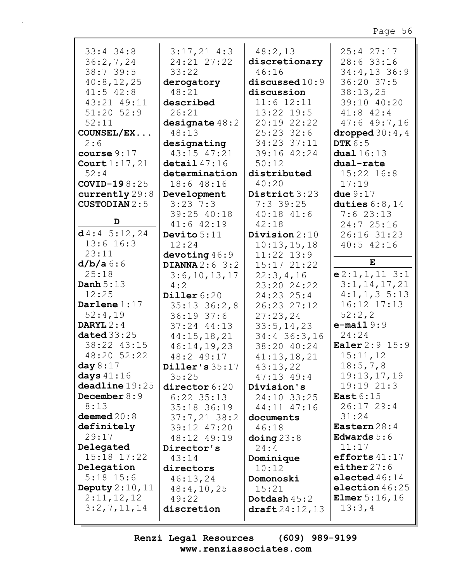| $33:4$ 34:8          |                         |                       | 25:4 27:17             |
|----------------------|-------------------------|-----------------------|------------------------|
|                      | $3:17,21$ 4:3           | 48:2,13               |                        |
| 36:2,7,24            | 24:21 27:22             | discretionary         | 28:6 33:16             |
| 38:739:5             | 33:22                   | 46:16                 | $34:4,13$ 36:9         |
| 40:8,12,25           | derogatory              | discussed 10:9        | 36:20 37:5             |
| $41:5$ $42:8$        | 48:21                   | discussion            | 38:13,25               |
| 43:21 49:11          | described               | $11:6$ $12:11$        | 39:10 40:20            |
| $51:20$ $52:9$       | 26:21                   | $13:22$ 19:5          | $41:8$ $42:4$          |
| 52:11                | designate $48:2$        | 20:19 22:22           | $47:6$ $49:7,16$       |
| COUNSEL/EX           | 48:13                   | $25:23$ 32:6          | dropped $30:4$ , 4     |
| 2:6                  | designating             | 34:23 37:11           | <b>DTK 6:5</b>         |
| course $9:17$        | 43:15 47:21             | 39:16 42:24           | dual16:13              |
| Court $1:17,21$      | $\texttt{detail}$ 47:16 | 50:12                 | dual-rate              |
| 52:4                 | determination           | distributed           | $15:22$ $16:8$         |
| $COVID-198:25$       | 18:6 48:16              | 40:20                 | 17:19                  |
|                      |                         | District 3:23         |                        |
| currently 29:8       | Development             |                       | due $9:17$             |
| <b>CUSTODIAN 2:5</b> | $3:23$ 7:3              | $7:3$ 39:25           | duties $6:8,14$        |
| D                    | 39:25 40:18             | $40:18$ $41:6$        | 7:623:13               |
|                      | $41:6$ $42:19$          | 42:18                 | 24:7 25:16             |
| d4:45:12,24          | Devito $5:11$           | Division $2:10$       | 26:16 31:23            |
| $13:6$ 16:3          | 12:24                   | 10:13,15,18           | $40:5$ $42:16$         |
| 23:11                | devoting $46:9$         | $11:22$ $13:9$        |                        |
| $d/b/a$ 6:6          | DIANNA $2:6$ 3:2        | 15:17 21:22           | ${\bf E}$              |
| 25:18                | 3:6, 10, 13, 17         | 22:3,4,16             | $e2:1,1,11$ 3:1        |
| Danh $5:13$          | 4:2                     | 23:20 24:22           | 3:1, 14, 17, 21        |
| 12:25                | Diller $6:20$           | 24:23 25:4            | $4:1, 1, 3$ 5:13       |
| Darlene $1:17$       | $35:13$ $36:2,8$        | 26:23 27:12           | 16:12 17:13            |
| 52:4,19              | 36:1937:6               | 27:23,24              | 52:2,2                 |
| DARYL $2:4$          | $37:24$ $44:13$         | 33:5, 14, 23          | $e$ -mail $9:9$        |
| dated $33:25$        | 44:15,18,21             | 34:4 36:3,16          | 24:24                  |
| 38:22 43:15          | 46:14,19,23             | 38:20 40:24           | <b>Ealer</b> 2:9 15:9  |
| 48:20 52:22          | 48:2 49:17              | 41:13,18,21           | 15:11,12               |
| day $8:17$           | Diller's 35:17          | 43:13,22              | 18:5,7,8               |
| days $41:16$         | 35:25                   | $47:13$ $49:4$        | 19:13,17,19            |
| deadline 19:25       |                         |                       | 19:19 21:3             |
| December $8:9$       | director 6:20           | Division's            | East $6:15$            |
| 8:13                 | $6:22$ 35:13            | 24:10 33:25           | $26:17$ 29:4           |
|                      | 35:18 36:19             | 44:11 47:16           | 31:24                  |
| deemed $20:8$        | $37:7,21$ 38:2          | documents             |                        |
| definitely           | 39:12 47:20             | 46:18                 | Eastern $28:4$         |
| 29:17                | 48:12 49:19             | $\Delta$ doing $23:8$ | Edwards $5:6$          |
| Delegated            | Director's              | 24:4                  | 11:17                  |
| 15:18 17:22          | 43:14                   | Dominique             | efforts $41:17$        |
| Delegation           | directors               | 10:12                 | either $27:6$          |
| $5:18$ 15:6          | 46:13,24                | Domonoski             | elected $46:14$        |
| Deputy $2:10,11$     | 48:4, 10, 25            | 15:21                 | election $46:25$       |
| 2:11,12,12           | 49:22                   | Dotdash 45:2          | <b>Elmer</b> $5:16,16$ |
| 3:2,7,11,14          | discretion              | draff24:12,13         | 13:3,4                 |
|                      |                         |                       |                        |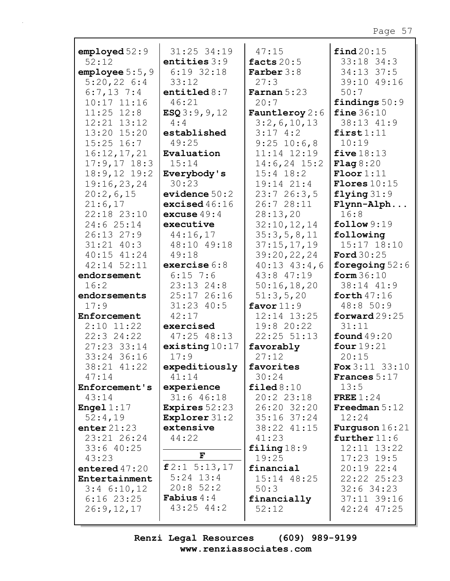|                      | 31:25 34:19            | 47:15                   | find 20:15              |
|----------------------|------------------------|-------------------------|-------------------------|
| employd 52:9         |                        |                         |                         |
| 52:12                | entities $3:9$         | facts $20:5$            | 33:18 34:3              |
| employee $5:5$ , $9$ | $6:19$ 32:18           | <b>Farber</b> $3:8$     | 34:13 37:5              |
| 5:20,226:4           | 33:12                  | 27:3                    | 39:10 49:16             |
| $6:7,13$ 7:4         | entitled $8:7$         | Farnan $5:23$           | 50:7                    |
| $10:17$ $11:16$      | 46:21                  | 20:7                    | findings $50:9$         |
| $11:25$ $12:8$       | ESQ3:9, 9, 12          | <b>Fauntleroy</b> $2:6$ | fine $36:10$            |
| 12:21 13:12          | 4:4                    | 3:2,6,10,13             | 38:13 41:9              |
| 13:20 15:20          | established            | 3:174:2                 | first1:11               |
| $15:25$ $16:7$       | 49:25                  | $9:25$ 10:6,8           | 10:19                   |
| 16:12,17,21          | Evaluation             | 11:14 12:19             | five $18:13$            |
| $17:9,17$ 18:3       | 15:14                  | $14:6, 24$ 15:2         | Flag8:20                |
| $18:9,12$ 19:2       | Everybody's            | $15:4$ $18:2$           | $\text{Floor}1:11$      |
| 19:16,23,24          | 30:23                  | $19:14$ $21:4$          | <b>Flores</b> $10:15$   |
| 20:2,6,15            | evidence $50:2$        | 23:726:3,5              | flying $31:9$           |
| 21:6,17              | excised $46:16$        | 26:7 28:11              | Flynn-Alph              |
| 22:18 23:10          | excuse $49:4$          | 28:13,20                | 16:8                    |
| 24:6 25:14           | executive              | 32:10,12,14             | follow 9:19             |
| 26:13 27:9           | 44:16,17               | 35:3,5,8,11             | following               |
| $31:21$ $40:3$       | 48:10 49:18            | 37:15,17,19             | 15:17 18:10             |
| 40:15 41:24          | 49:18                  |                         | <b>Ford</b> 30:25       |
|                      |                        | 39:20,22,24             |                         |
| 42:14 52:11          | exercise $6:8$         | $40:13$ $43:4$ , 6      | foregoing $52:6$        |
| endorsement          | $6:15$ 7:6             | 43:8 47:19              | form $36:10$            |
| 16:2                 | $23:13$ $24:8$         | 50:16,18,20             | 38:14 41:9              |
| endorsements         | 25:17 26:16            | 51:3,5,20               | forth $47:16$           |
| 17:9                 | $31:23$ 40:5           | favor $11:9$            | 48:8 50:9               |
| Enforcement          | 42:17                  | 12:14 13:25             | forward $29:25$         |
| $2:10$ 11:22         | exercised              | 19:8 20:22              | 31:11                   |
| 22:324:22            | 47:25 48:13            | 22:25 51:13             | found $49:20$           |
| 27:23 33:14          | existsing10:17         | favorably               | four $19:21$            |
| 33:24 36:16          | 17:9                   | 27:12                   | 20:15                   |
| 38:21 41:22          | expeditiously          | favorites               | $F$ ox 3:11 33:10       |
| 47:14                | 41:14                  | 30:24                   | <b>Frances</b> $5:17$   |
| Enforcement's        | experience             | $\texttt{filed8:10}$    | 13:5                    |
| 43:14                | $31:6$ 46:18           | 20:2 23:18              | FREE $1:24$             |
| <b>Engel</b> $1:17$  | <b>Expires</b> $52:23$ | 26:20 32:20             | Freedman $5:12$         |
| 52:4,19              | <b>Explorer</b> 31:2   | $35:16$ $37:24$         | 12:24                   |
| enter $21:23$        | extensive              | 38:22 41:15             | <b>Furguson</b> $16:21$ |
| 23:21 26:24          | 44:22                  | 41:23                   | further $11:6$          |
| $33:6$ 40:25         |                        | filing $18:9$           | 12:11 13:22             |
| 43:23                | $\mathbf F$            | 19:25                   | $17:23$ 19:5            |
| entered $47:20$      | f2:1 5:13,17           | financial               | $20:19$ 22:4            |
| Entertainment        | $5:24$ 13:4            | 15:14 48:25             | 22:22 25:23             |
| $3:4$ 6:10,12        | 20:852:2               | 50:3                    | $32:6$ 34:23            |
| $6:16$ 23:25         | <b>Fabius</b> $4:4$    | financially             | 37:11 39:16             |
| 26:9,12,17           | $43:25$ $44:2$         | 52:12                   | 42:24 47:25             |
|                      |                        |                         |                         |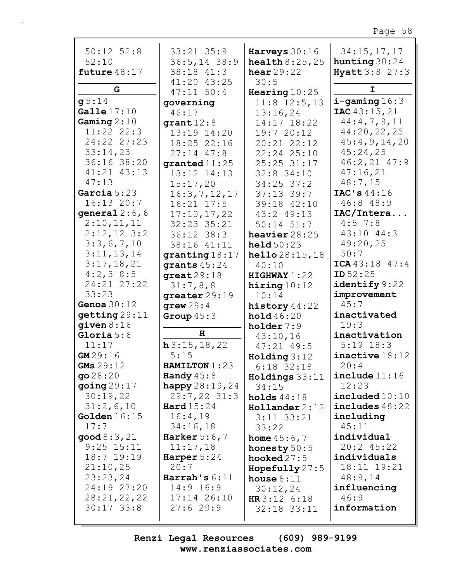| $50:12$ $52:8$              | 33:21 35:9                       | Harveys 30:16                                      | 34:15,17,17                              |
|-----------------------------|----------------------------------|----------------------------------------------------|------------------------------------------|
| 52:10<br>future $48:17$     | $36:5, 14$ 38:9<br>38:18 41:3    | <b>health <math>8:25,25</math></b><br>hear $29:22$ | hunting $30:24$<br><b>Hyatt 3:8 27:3</b> |
|                             | 41:20 43:25                      | 30:5                                               |                                          |
| G                           | $47:11$ 50:4                     | Hearing $10:25$                                    | I                                        |
| g5:14                       | governing                        | $11:8$ 12:5,13                                     | $i$ -gaming $16:3$                       |
| Galle $17:10$               | 46:17                            | 13:16,24                                           | <b>IAC</b> $43:15,21$                    |
| Gaming $2:10$               | $\mathtt{grant} 12:8$            | 14:17 18:22                                        | 44:4,7,9,11                              |
| 11:22 22:3                  | 13:19 14:20                      | 19:7 20:12                                         | 44:20,22,25                              |
| 24:22 27:23                 | 18:25 22:16                      | 20:21 22:12                                        | 45:4,9,14,20                             |
| 33:14,23                    | $27:14$ $47:8$                   | 22:24 25:10                                        | 45:24,25                                 |
| 36:16 38:20                 | granted $11:25$                  | 25:25 31:17                                        | $46:2,21$ $47:9$                         |
| 41:21 43:13                 | 13:12 14:13                      | $32:8$ 34:10                                       | 47:16,21                                 |
| 47:13                       | 15:17,20                         | $34:25$ 37:2                                       | 48:7,15                                  |
| Garcia $5:23$<br>16:13 20:7 | 16:3,7,12,17                     | $37:13$ 39:7                                       | IAC's $44:16$                            |
|                             | $16:21$ $17:5$                   | 39:18 42:10                                        | 46:848:9                                 |
| general $2:6$ , 6           | 17:10,17,22                      | 43:2 49:13                                         | IAC/Intera<br>$4:5$ 7:8                  |
| 2:10,11,11<br>$2:12,12$ 3:2 | 32:23 35:21                      | $50:14$ $51:7$                                     | $43:10$ $44:3$                           |
| 3:3,6,7,10                  | $36:12$ $38:3$                   | heavier $28:25$                                    | 49:20,25                                 |
| 3:11,13,14                  | 38:16 41:11                      | held $50:23$                                       | 50:7                                     |
| 3:17,18,21                  | granting 18:17<br>grants $45:24$ | hello 28:15, 18<br>40:10                           | ICA43:1847:4                             |
| $4:2,3$ 8:5                 | $great29:18$                     | HIGHWAY1:22                                        | <b>ID</b> $52:25$                        |
| 24:21 27:22                 | 31:7,8,8                         | hiring $10:12$                                     | identify 9:22                            |
| 33:23                       | greater 29:19                    | 10:14                                              | improvement                              |
| Genoa $30:12$               | $grew 29:4$                      | history 44:22                                      | 45:7                                     |
| $q$ etting $29:11$          | Group $45:3$                     | hold46:20                                          | inactivated                              |
| given $8:16$                |                                  | holder $7:9$                                       | 19:3                                     |
| Gloria $5:6$                | H                                | 43:10,16                                           | inactivation                             |
| 11:17                       | h3:15,18,22                      | $47:21$ $49:5$                                     | $5:19$ $18:3$                            |
| GM29:16                     | 5:15                             | Holding 3:12                                       | inactive 18:12                           |
| GMs 29:12                   | HAMILTON 1:23                    | $6:18$ 32:18                                       | 20:4                                     |
| 9028:20                     | Handy $45:8$                     | $\texttt{Holdings} 33:11$                          | $\verb include 11116 $                   |
| going 29:17                 | happy $28:19,24$                 | 34:15                                              | 12:23                                    |
| 30:19,22                    | $29:7,22$ 31:3                   | holds $44:18$                                      | $\texttt{included}~10:10$                |
| 31:2,6,10                   | Hard $15:24$                     | $H$ ollander 2:12                                  | $includes$ 48:22                         |
| Golden $16:15$              | 16:4,19                          | $3:11$ $33:21$                                     | including                                |
| 17:7                        | 34:16,18                         | 33:22                                              | 45:11                                    |
| $\mathsf{good}\,8:3$ , 21   | Harker $5:6,7$                   | <b>home</b> $45:6,7$                               | individual                               |
| $9:25$ $15:11$              | 11:17,18                         | honesty $50:5$                                     | $20:2$ 45:22                             |
| 18:7 19:19                  | Harper $5:24$<br>20:7            | hooked $27:5$                                      | individuals<br>18:11 19:21               |
| 21:10,25<br>23:23,24        | Harrah's $6:11$                  | Hopefully $27:5$                                   | 48:9,14                                  |
| 24:19 27:20                 | $14:9$ 16:9                      | house $8:11$                                       | influencing                              |
| 28:21,22,22                 | 17:14 26:10                      | 30:12,24<br>$HR3:12 \quad 6:18$                    | 46:9                                     |
| $30:17$ 33:8                | 27:629:9                         | 32:18 33:11                                        | information                              |
|                             |                                  |                                                    |                                          |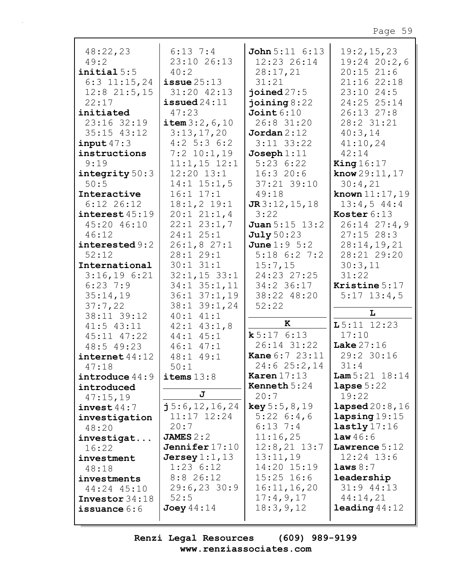| 48:22,23                       | $6:13$ $7:4$                  | <b>John</b> $5:11 \ 6:13$   | 19:2,15,23                  |
|--------------------------------|-------------------------------|-----------------------------|-----------------------------|
| 49:2                           | 23:10 26:13                   | 12:23 26:14                 | $19:24$ 20:2,6              |
| initial 5:5                    | 40:2                          | 28:17,21                    | $20:15$ 21:6                |
| $6:3$ 11:15,24                 | $i$ ssue $25:13$              | 31:21                       | 21:16 22:18                 |
| $12:8$ $21:5,15$               | 31:20 42:13                   | joined $27:5$               | 23:10 24:5                  |
| 22:17                          | $i$ ssued $24:11$             | joining $8:22$              | 24:25 25:14                 |
| initiated                      | 47:23                         | Joint 6:10                  | 26:13 27:8                  |
| 23:16 32:19                    | item $3:2, 6, 10$             | 26:8 31:20                  | 28:2 31:21                  |
| $35:15$ $43:12$                |                               | Jordan 2:12                 |                             |
|                                | 3:13,17,20                    |                             | 40:3,14                     |
| input47:3                      | $4:2$ 5:3 6:2                 | $3:11$ $33:22$              | 41:10,24                    |
| instructions                   | $7:2$ 10:1,19                 | Joseph $1:11$               | 42:14                       |
| 9:19                           | $11:1,15$ $12:1$              | 5:236:22                    | King $16:17$                |
| integrity $50:3$               | $12:20$ $13:1$                | 16:320:6                    | <b>know</b> $29:11, 17$     |
| 50:5                           | $14:1$ $15:1,5$               | 37:21 39:10                 | 30:4,21                     |
| Interactive                    | $16:1$ $17:1$                 | 49:18                       | <b>known</b> $11:17,19$     |
| $6:12$ 26:12                   | $18:1,2$ 19:1                 | $J\mathbb{R}3:12,15,18$     | 13:4,544:4                  |
| interset 45:19                 | 20:121:1,4                    | 3:22                        | Koster 6:13                 |
| 45:20 46:10                    | $22:1$ $23:1,7$               | <b>Juan</b> $5:15$ $13:2$   | $26:14$ $27:4$ , 9          |
| 46:12                          | $24:1$ $25:1$                 |                             | $27:15$ 28:3                |
|                                |                               | <b>July</b> 50:23           |                             |
| interested 9:2                 | 26:1,827:1                    | <b>June</b> $1:9 \ 5:2$     | 28:14,19,21                 |
| 52:12                          | 28:129:1                      | $5:18$ 6:2 7:2              | 28:21 29:20                 |
| International                  | $30:1$ $31:1$                 | 15:7,15                     | 30:3,11                     |
| 3:16,196:21                    | $32:1, 15$ 33:1               | 24:23 27:25                 | 31:22                       |
| $6:23$ 7:9                     | $34:1$ $35:1,11$              | $34:2$ 36:17                | Kristine 5:17               |
| 35:14,19                       | $36:1$ $37:1$ , 19            | 38:22 48:20                 | $5:17$ 13:4,5               |
| 37:7,22                        | 38:1 39:1,24                  | 52:22                       |                             |
| 38:11 39:12                    | $40:1$ $41:1$                 |                             | L                           |
| $41:5$ $43:11$                 | $42:1$ $43:1$ , 8             | K                           | $L5:11$ 12:23               |
| 45:11 47:22                    | $44:1$ $45:1$                 | k 5:176:13                  | 17:10                       |
|                                |                               | $26:14$ $31:22$             | Lake $27:16$                |
| 48:5 49:23                     | $46:1$ $47:1$                 |                             |                             |
| $\frac{1}{2}$ internet $44:12$ | 48:1 49:1                     | Kane 6:7 23:11   29:2 30:16 |                             |
| 47:18                          | 50:1                          | $24:6$ $25:2,14$            | 31:4                        |
| introduce $44:9$               | items $13:8$                  | Karen $17:13$               | <b>Lam</b> $5:21$ $18:14$   |
| introduced                     |                               | <b>Kenneth</b> $5:24$       | lapse $5:22$                |
| 47:15,19                       | J                             | 20:7                        | 19:22                       |
| invest $44:7$                  | $\frac{1}{1}$ 5:6, 12, 16, 24 | <b>key</b> $5:5, 8, 19$     | <b>lapsed</b> $20:8$ , $16$ |
| investigation                  | $11:17$ $12:24$               | $5:22 \ 6:4,6$              | lapsing19:15                |
| 48:20                          | 20:7                          | $6:13$ 7:4                  | lastly17:16                 |
| investigat                     | JAMES $2:2$                   | 11:16,25                    | law46:6                     |
| 16:22                          | Jennifer $17:10$              | $12:8,21$ $13:7$            | Lawrence $5:12$             |
| investment                     | Jersey $1:1$ , $13$           | 13:11,19                    | $12:24$ $13:6$              |
|                                | $1:23$ 6:12                   | 14:20 15:19                 | laws 8:7                    |
| 48:18                          |                               |                             |                             |
| investments                    | $8:8$ 26:12                   | $15:25$ 16:6                | leadership                  |
| 44:24 45:10                    | $29:6, 23$ 30:9               | 16:11, 16, 20               | $31:9$ 44:13                |
| Investor $34:18$               | 52:5                          | 17:4,9,17                   | 44:14,21                    |
| issuance $6:6$                 | Joey $44:14$                  | 18:3,9,12                   | <b>leading</b> $44:12$      |
|                                |                               |                             |                             |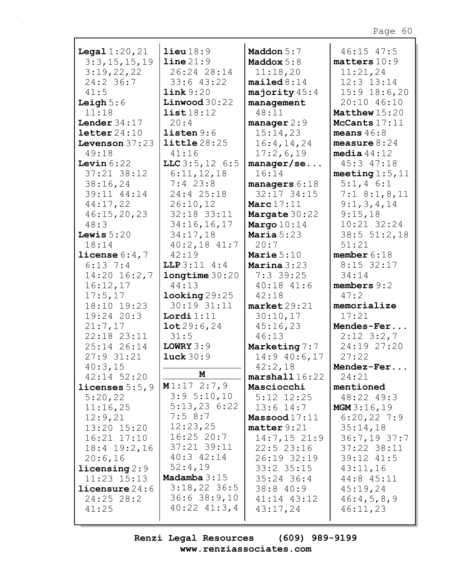| <b>Legal</b> $1:20,21$                     | $\text{lieu} 18:9$       | Maddon 5:7                    | $46:15$ $47:5$                |
|--------------------------------------------|--------------------------|-------------------------------|-------------------------------|
| 3:3,15,15,19                               | line 21:9                | Maddox $5:8$                  | matters 10:9                  |
| 3:19,22,22                                 | 26:24 28:14              | 11:18,20                      | 11:21,24                      |
| $24:2$ 36:7                                | $33:6$ 43:22             | mailed 8:14                   | $12:3$ $13:14$                |
| 41:5                                       | link 9:20                | majority $45:4$               | $15:9$ 18:6,20                |
| Leigh $5:6$                                | Linwood 30:22            | management                    | 20:10 46:10                   |
| 11:18                                      | list18:12                | 48:11                         | Matthew 15:20                 |
| Lender $34:17$                             | 20:4                     | manager $2:9$                 | McCants 17:11                 |
| $\texttt{letter}\,24\!:\!10$               | listen 9:6               | 15:14,23                      | means $46:8$                  |
| Levenson $37:23$                           | <b>little</b> 28:25      | 16:4, 14, 24                  | measure $8:24$                |
| 49:18                                      | 41:16                    | 17:2,6,19                     | media $44:12$                 |
| Levin $6:22$                               | LLC $3:5, 12$ 6:5        | manger/sec                    | 45:3 47:18                    |
| $37:21$ $38:12$                            | 6:11,12,18               | 16:14                         | meeting $1:5$ , $11$          |
| 38:16,24                                   | $7:4$ 23:8               | managers $6:18$               | $5:1,4$ 6:1                   |
| 39:11 44:14                                | 24:4 25:18               | $32:17$ $34:15$               | $7:1$ 8:1,8,11                |
| 44:17,22                                   | 26:10,12                 | Marc $17:11$                  | 9:1,3,4,14                    |
| 46:15,20,23                                | 32:18 33:11              | <b>Margate 30:22</b>          | 9:15,18                       |
| 48:3                                       | 34:16,16,17              | Margo $10:14$                 | 10:21 32:24                   |
| Lewis $5:20$                               | 34:17,18                 | Maria $5:23$                  | 38:5 51:2,18                  |
| 18:14                                      | $40:2,18$ $41:7$         | 20:7                          | 51:21                         |
| license $6:4,7$                            | 42:19                    | Marie $5:10$                  | member $6:18$                 |
| $6:13$ 7:4                                 | LLP 3:11 4:4             | Marina $3:23$                 | $8:15$ 32:17                  |
| $14:20$ $16:2,7$                           | longtime 30:20           | $7:3$ 39:25                   | 34:14                         |
| 16:12,17                                   | 44:13                    | $40:18$ $41:6$                | members $9:2$                 |
| 17:5,17                                    | $\texttt{looking} 29:25$ | 42:18                         | 47:2                          |
| 18:10 19:23                                | 30:19 31:11              | market29:21                   | memorialize                   |
| 19:24 20:3                                 | Lordi $1:11$             | 30:10,17                      | 17:21                         |
| 21:7,17                                    | 10t29:6,24               | 45:16,23                      | Mendes-Fer                    |
| 22:18 23:11                                | 31:5                     | 46:13                         | $2:12$ $3:2,7$                |
| 25:14 26:14                                | LOWRY $3:9$              | Marketing 7:7                 | 24:19 27:20                   |
| 27:931:21                                  | luck $30:9$              | $14:9$ 40:6,17                | 27:22                         |
|                                            |                          |                               |                               |
| 40:3,15<br>$42:14$ 52:20                   | М                        | 42:2,18<br>$marshall16:22$    | Mendez-Fer<br>24:21           |
| licenses $5:5$ , $9$                       | M1:172:7,9               | Masciocchi                    | mentioned                     |
| 5:20,22                                    | 3:95:10,10               | $5:12$ $12:25$                | 48:22 49:3                    |
| 11:16,25                                   | 5:13,236:22              | $13:6$ $14:7$                 |                               |
| 12:9,21                                    | 7:58:7                   | Massood $17:11$               | MGM3:16,19                    |
| 13:20 15:20                                | 12:23,25                 | matter 9:21                   | $6:20,22$ 7:9                 |
| $16:21$ $17:10$                            | $16:25$ 20:7             | $14:7,15$ 21:9                | 35:14,18                      |
|                                            | $37:21$ $39:11$          |                               | $36:7,19$ 37:7<br>37:22 38:11 |
| $18:4$ $19:2,16$<br>20:6,16                | $40:3$ $42:14$           | $22:5$ $23:16$<br>26:19 32:19 | 39:12 41:5                    |
|                                            | 52:4,19                  | $33:2$ $35:15$                | 43:11,16                      |
| $\text{licensing } 2:9$<br>$11:23$ $15:13$ | Madamba $3:15$           | $35:24$ 36:4                  | 44:8 45:11                    |
|                                            | $3:18,22$ 36:5           |                               |                               |
| <b>licensure</b> $24:6$                    | 36:638:9,10              | 38:840:9                      | 45:19,24                      |
| 24:25 28:2<br>41:25                        | $40:22$ $41:3,4$         | 41:14 43:12<br>43:17,24       | 46:4,5,8,9<br>46:11,23        |
|                                            |                          |                               |                               |
|                                            |                          |                               |                               |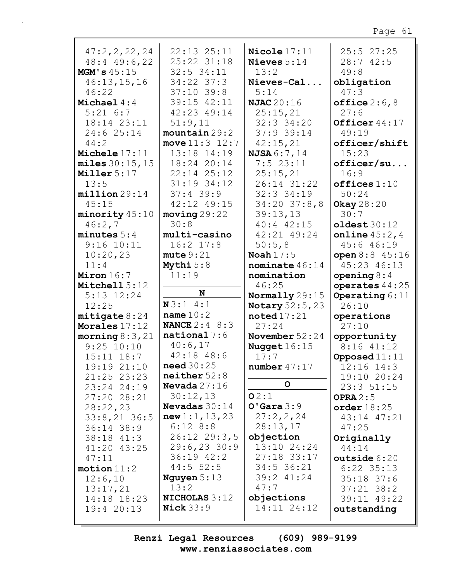| 47:2, 2, 22, 24    | 22:13 25:11            | Nicole $17:11$         | 25:527:25         |
|--------------------|------------------------|------------------------|-------------------|
| $48:4$ $49:6$ , 22 | 25:22 31:18            | Nieves $5:14$          | 28:742:5          |
| MGM's 45:15        | 32:5 34:11             | 13:2                   | 49:8              |
| 46:13,15,16        | 34:22 37:3             | Nieves-Cal             | obligation        |
| 46:22              | $37:10$ 39:8           | 5:14                   | 47:3              |
| Michael $4:4$      | 39:15 42:11            | <b>NJAC</b> 20:16      | office $2:6,8$    |
| $5:21$ $6:7$       | 42:23 49:14            | 25:15,21               | 27:6              |
|                    |                        | $32:3$ $34:20$         | Officer 44:17     |
| 18:14 23:11        | 51:9,11                |                        |                   |
| 24:6 25:14         | mountain 29:2          | 37:9 39:14             | 49:19             |
| 44:2               | move $11:3$ $12:7$     | 42:15,21               | officer/shift     |
| Michele $17:11$    | 13:18 14:19            | <b>NJSA</b> 6:7,14     | 15:23             |
| miles 30:15,15     | 18:24 20:14            | 7:523:11               | officer/su        |
| Miller $5:17$      | 22:14 25:12            | 25:15,21               | 16:9              |
| 13:5               | 31:19 34:12            | 26:14 31:22            | offices 1:10      |
| million29:14       | $37:4$ 39:9            | $32:3$ 34:19           | 50:24             |
| 45:15              | 42:12 49:15            | $34:20$ $37:8$ , 8     | <b>Okay</b> 28:20 |
| minority 45:10     | moving 29:22           | 39:13,13               | 30:7              |
|                    | 30:8                   | 40:4 42:15             |                   |
| 46:2,7             |                        |                        | oldest 30:12      |
| minutes $5:4$      | multi-casino           | 42:21 49:24            | online $45:2, 4$  |
| $9:16$ $10:11$     | $16:2$ 17:8            | 50:5,8                 | 45:6 46:19        |
| 10:20,23           | mute 9:21              | Noah $17:5$            | open $8:8$ 45:16  |
| 11:4               | Mythi $5:8$            | nominate $46:14$       | 45:23 46:13       |
| Miron $16:7$       | 11:19                  | nomination             | opening $8:4$     |
| Mitchell 5:12      |                        | 46:25                  | operates 44:25    |
| $5:13$ $12:24$     | N                      | Normally 29:15         | Operating $6:11$  |
| 12:25              | N3:14:1                | <b>Notary</b> 52:5, 23 | 26:10             |
| mitigate 8:24      | name $10:2$            | $\texttt{noted}17:21$  | operations        |
| Morales 17:12      | <b>NANCE</b> $2:4$ 8:3 | 27:24                  | 27:10             |
| morning $8:3,21$   | $national 7:6$         | November $52:24$       | opportunity       |
| $9:25$ $10:10$     | 40:6,17                |                        | 8:16 41:12        |
|                    | 42:18 48:6             | Nugget $16:15$         |                   |
| $15:11$ $18:7$     |                        | 17:7                   | Opposed $11:11$   |
| 19:19 21:10        | need $30:25$           | number $47:17$         | $12:16$ $14:3$    |
| 21:25 23:23        | neither 52:8           |                        | 19:10 20:24       |
| 23:24 24:19        | <b>Nevada</b> $27:16$  | $\mathsf{o}$           | 23:351:15         |
| 27:20 28:21        | 30:12,13               | O2:1                   | OPRA $2:5$        |
| 28:22,23           | <b>Nevadas</b> 30:14   | $O'$ Gara $3:9$        | order $18:25$     |
| $33:8,21$ 36:5     | new 1:1, 13, 23        | 27:2,2,24              | 43:14 47:21       |
| $36:14$ $38:9$     | 6:128:8                | 28:13,17               | 47:25             |
| $38:18$ $41:3$     | $26:12$ $29:3,5$       | objection              | Originally        |
| 41:20 43:25        | $29:6, 23$ 30:9        | 13:10 24:24            | 44:14             |
| 47:11              | $36:19$ $42:2$         | 27:18 33:17            | outside 6:20      |
|                    | $44:5$ 52:5            | $34:5$ 36:21           |                   |
| motion 11:2        |                        | 39:2 41:24             | $6:22$ 35:13      |
| 12:6,10            | Nguyen $5:13$          |                        | $35:18$ 37:6      |
| 13:17,21           | 13:2                   | 47:7                   | $37:21$ $38:2$    |
| 14:18 18:23        | <b>NICHOLAS 3:12</b>   | objections             | 39:11 49:22       |
| 19:420:13          | Nick $33:9$            | 14:11 24:12            | outstanding       |
|                    |                        |                        |                   |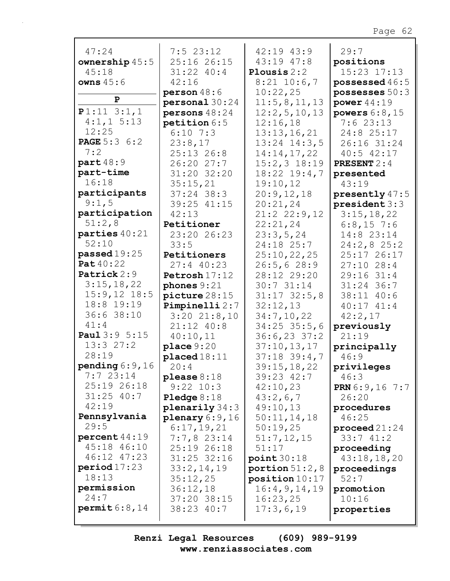| 47:24                          | 7:523:12             | 42:19 43:9         | 29:7                    |
|--------------------------------|----------------------|--------------------|-------------------------|
| ownership $45:5$               | 25:16 26:15          | 43:19 47:8         | positions               |
| 45:18                          | 31:22 40:4           | Plousis $2:2$      | 15:23 17:13             |
| owns $45:6$                    | 42:16                | $8:21$ 10:6,7      | possessed $46:5$        |
|                                | person $48:6$        | 10:22,25           | possesses $50:3$        |
| $\mathbf{P}$                   | personal 30:24       | 11:5,8,11,13       | power $44:19$           |
| $P1:11$ 3:1,1                  | persons 48:24        | 12:2,5,10,13       | powers $6:8,15$         |
| $4:1,1$ 5:13                   | petition $6:5$       | 12:16,18           | 7:623:13                |
| 12:25                          | $6:10$ 7:3           | 13:13,16,21        | 24:8 25:17              |
| <b>PAGE</b> 5:3 6:2            | 23:8,17              | $13:24$ $14:3,5$   | 26:16 31:24             |
| 7:2                            | $25:13$ $26:8$       | 14:14,17,22        | $40:5$ $42:17$          |
| part 48:9                      | 26:2027:7            | $15:2,3$ $18:19$   | <b>PRESENT</b> $2:4$    |
| part-time                      | 31:20 32:20          | $18:22$ $19:4,7$   | presented               |
| 16:18                          | 35:15,21             | 19:10,12           | 43:19                   |
| participants                   | $37:24$ 38:3         | 20:9,12,18         | presently $47:5$        |
| 9:1,5                          | 39:25 41:15          | 20:21,24           | president 3:3           |
| participation                  | 42:13                | $21:2$ $22:9,12$   | 3:15,18,22              |
| 51:2,8                         | Petitioner           | 22:21,24           | $6:8,15$ 7:6            |
| parties $40:21$                | 23:20 26:23          | 23:3,5,24          | 14:8 23:14              |
| 52:10                          | 33:5                 | 24:18 25:7         | 24:2,825:2              |
| passed $19:25$                 | Petitioners          | 25:10,22,25        | 25:17 26:17             |
| <b>Pat</b> 40:22               | $27:4$ 40:23         | 26:5, 628:9        | $27:10$ 28:4            |
| Patrick 2:9                    | Petrosh 17:12        | 28:12 29:20        | 29:16 31:4              |
| 3:15,18,22                     | phones $9:21$        | 30:731:14          | $31:24$ 36:7            |
| $15:9,12$ 18:5                 |                      |                    |                         |
| 18:8 19:19                     | picture 28:15        | $31:17$ $32:5$ , 8 | 38:11 40:6              |
| 36:6 38:10                     | Pimpinelli 2:7       | 32:12,13           | $40:17$ $41:4$          |
| 41:4                           | $3:20$ $21:8,10$     | 34:7,10,22         | 42:2,17                 |
|                                | 21:12 40:8           | $34:25$ 35:5,6     | previously              |
| Paul 3:9 5:15<br>13:327:2      | 40:10,11             | $36:6,23$ 37:2     | 21:19                   |
|                                | place 9:20           | 37:10, 13, 17      | principally             |
| 28:19                          | $placed 18:11$       | $37:18$ 39:4,7     | 46:9                    |
| pending $6:9$ , 16<br>7:723:14 | 20:4                 | 39:15,18,22        | privileges              |
|                                | please $8:18$        | $39:23$ $42:7$     | 46:3                    |
| 25:19 26:18                    | $9:22$ $10:3$        | 42:10,23           | <b>PRN</b> $6:9,16$ 7:7 |
| $31:25$ 40:7                   | <b>Pledge</b> $8:18$ | 43:2,6,7           | 26:20                   |
| 42:19                          | planarily 34:3       | 49:10,13           | procedures              |
| Pennsylvania                   | plenary $6:9,16$     | 50:11,14,18        | 46:25                   |
| 29:5                           | 6:17,19,21           | 50:19,25           | $\bold{proceed\,}21:24$ |
| percent44:19                   | 7:7,823:14           | 51:7,12,15         | 33:741:2                |
| 45:18 46:10                    | 25:19 26:18          | 51:17              | proceeding              |
| 46:12 47:23                    | $31:25$ $32:16$      | point 30:18        | 43:18,18,20             |
| period17:23                    | 33:2,14,19           | portion $51:2,8$   | proceedings             |
| 18:13                          | 35:12,25             | position 10:17     | 52:7                    |
| permission                     | 36:12,18             | 16:4,9,14,19       | promotion               |
| 24:7                           | 37:20 38:15          | 16:23,25           | 10:16                   |
| permit 6:8,14                  | 38:23 40:7           | 17:3,6,19          | properties              |
|                                |                      |                    |                         |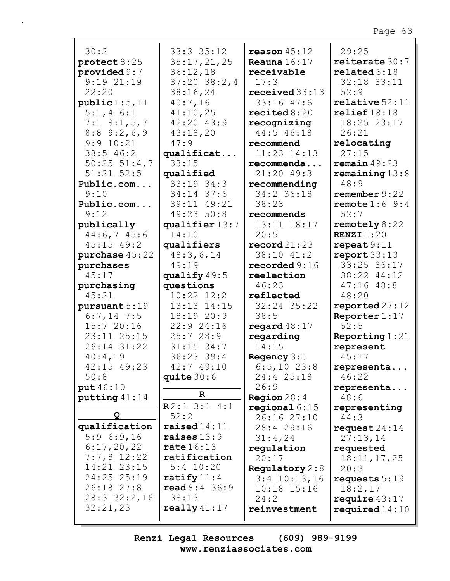| 30:2                   | 33:33:5:12       | reason $45:12$         | 29:25                       |
|------------------------|------------------|------------------------|-----------------------------|
| $\texttt{protest}8:25$ | 35:17,21,25      | Reauna $16:17$         | reiterate $30:7$            |
| provided $9:7$         | 36:12,18         | receivable             | related 6:18                |
| $9:19$ $21:19$         | $37:20$ $38:2,4$ | 17:3                   | 32:18 33:11                 |
| 22:20                  | 38:16,24         | received $33:13$       | 52:9                        |
| public 1:5, 11         | 40:7,16          | $33:16$ 47:6           | $relative$ 52:11            |
| $5:1,4$ 6:1            | 41:10,25         | recited $8:20$         | relief18:18                 |
| $7:1$ 8:1, 5, 7        | 42:20 43:9       | recognizing            | 18:25 23:17                 |
| $8:8$ 9:2, 6, 9        | 43:18,20         | 44:5 46:18             | 26:21                       |
| 9:9 10:21              | 47:9             | recommend              | relocating                  |
| 38:546:2               | qualificat       | $11:23$ $14:13$        | 27:15                       |
| $50:25$ $51:4,7$       | 33:15            | recommenda             | remain $49:23$              |
| $51:21$ $52:5$         | qualified        | $21:20$ 49:3           | remaining $13:8$            |
| Public.com             | $33:19$ $34:3$   | recommending           | 48:9                        |
| 9:10                   | $34:14$ 37:6     | 34:2 36:18             | remember 9:22               |
| Public.com             | 39:11 49:21      | 38:23                  | remote $1:6$ 9:4            |
| 9:12                   | 49:23 50:8       | recommends             | 52:7                        |
| publically             | qualifier 13:7   | 13:11 18:17            | remotely $8:22$             |
| 44:6,745:6             | 14:10            | 20:5                   | <b>RENZI</b> $1:20$         |
| $45:15$ $49:2$         | qualifiers       | $\texttt{record21:23}$ | repeat9:11                  |
| purchase 45:22         | 48:3,6,14        | 38:10 41:2             | report 33:13                |
| purchases              | 49:19            | recorded $9:16$        | 33:25 36:17                 |
| 45:17                  | qualify $49:5$   | reelection             | 38:22 44:12                 |
| purchasing             | questions        | 46:23                  | $47:16$ $48:8$              |
| 45:21                  | $10:22$ $12:2$   | reflected              | 48:20                       |
| pursuant 5:19          | 13:13 14:15      | 32:24 35:22            | reported27:12               |
| $6:7,14$ 7:5           | 18:19 20:9       | 38:5                   | Reporter $1:17$             |
| 15:720:16              | 22:9 24:16       | regard $48:17$         | 52:5                        |
| 23:11 25:15            | 25:728:9         | regarding              | Reporting $1:21$            |
| 26:14 31:22            | $31:15$ 34:7     | 14:15                  | represent                   |
| 40:4,19                | 36:23 39:4       | Regency $3:5$          | 45:17                       |
| 42:15 49:23            | 42:7 49:10       | $6:5,10$ 23:8          | representa                  |
| 50:8                   | quite $30:6$     | 24:4 25:18             | 46:22                       |
| put 46:10              | $\mathbf R$      | 26:9                   | representa                  |
| putting $41:14$        | R2:13:14:1       | <b>Region</b> $28:4$   | 48:6                        |
| Q                      | 52:2             | regional $6:15$        | representing                |
| qualification          | raised $14:11$   | 26:16 27:10            | 44:3                        |
| 5:96::9,16             | raises $13:9$    | 28:4 29:16             | request $24:14$<br>27:13,14 |
| 6:17,20,22             | rate $16:13$     | 31:4,24<br>regulation  | requested                   |
| $7:7,8$ 12:22          | ratification     | 20:17                  | 18:11, 17, 25               |
| 14:21 23:15            | $5:4$ 10:20      | Regulatory $2:8$       | 20:3                        |
| 24:25 25:19            | ratify $11:4$    | $3:4$ 10:13,16         | requests $5:19$             |
| 26:18 27:8             | read 8:4 36:9    | $10:18$ $15:16$        | 18:2,17                     |
| 28:3 32:2,16           | 38:13            | 24:2                   | require $43:17$             |
| 32:21,23               | really $41:17$   | reinvestment           | required $14:10$            |
|                        |                  |                        |                             |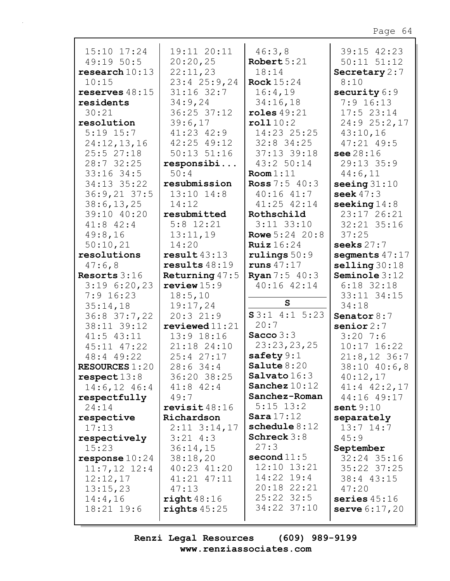| 15:10 17:24           | 19:11 20:11      | 46:3,8                 | 39:15 42:23             |
|-----------------------|------------------|------------------------|-------------------------|
| 49:1950:5             | 20:20,25         | Robert $5:21$          | $50:11$ $51:12$         |
| research10:13         | 22:11,23         | 18:14                  | Secretary $2:7$         |
| 10:15                 | $23:4$ $25:9,24$ | <b>Rock</b> 15:24      | 8:10                    |
| reserves $48:15$      | $31:16$ 32:7     | 16:4,19                | security $6:9$          |
| residents             | 34:9,24          | 34:16,18               | $7:9$ 16:13             |
| 30:21                 | 36:25 37:12      | roles $49:21$          | $17:5$ 23:14            |
| resolution            | 39:6,17          | roll10:2               | 24:9 25:2,17            |
| $5:19$ 15:7           | 41:23 42:9       | 14:23 25:25            | 43:10,16                |
| 24:12,13,16           | 42:25 49:12      | $32:8$ 34:25           | $47:21$ $49:5$          |
| 25:527:18             | $50:13$ $51:16$  | 37:13 39:18            | see 28:16               |
| 28:7 32:25            | responsibi       | 43:2 50:14             | 29:13 35:9              |
| 33:16 34:5            | 50:4             | Room 1:11              | 44:6,11                 |
| 34:13 35:22           | resubmission     | <b>Ross</b> $7:5$ 40:3 | seeing $31:10$          |
| $36:9,21$ 37:5        | $13:10$ $14:8$   | $40:16$ $41:7$         | seek $47:3$             |
| 38:6, 13, 25          | 14:12            | 41:25 42:14            | seeking $14:8$          |
| 39:10 40:20           | resubmitted      | Rothschild             | 23:17 26:21             |
| $41:8$ $42:4$         | $5:8$ 12:21      | $3:11$ $33:10$         | 32:21 35:16             |
| 49:8,16               | 13:11,19         | <b>Rowe</b> 5:24 20:8  | 37:25                   |
| 50:10,21              | 14:20            | <b>Ruiz</b> $16:24$    | seeks $27:7$            |
| resolutions           | result43:13      | rulings $50:9$         | segments $47:17$        |
| 47:6,8                | results $48:19$  | runs $47:17$           | $\text{selling } 30:18$ |
| Resorts $3:16$        | Returning $47:5$ | <b>Ryan</b> $7:5$ 40:3 | Seminole 3:12           |
| 3:196:20,23           | review $15:9$    | $40:16$ $42:14$        | $6:18$ 32:18            |
| $7:9$ 16:23           | 18:5, 10         |                        | 33:11 34:15             |
| 35:14,18              | 19:17,24         | S                      | 34:18                   |
| $36:8$ $37:7,22$      | 20:321:9         | $S3:1$ 4:1 5:23        | Senator $8:7$           |
| 38:11 39:12           | reviewed11:21    | 20:7                   | senior $2:7$            |
| $41:5$ $43:11$        | 13:9 18:16       | Sacco $3:3$            | $3:20$ 7:6              |
| $45:11$ $47:22$       | 21:18 24:10      | 23:23,23,25            | $10:17$ $16:22$         |
| 48:4 49:22            | 25:4 27:17       | safety $9:1$           | $21:8,12$ 36:7          |
| <b>RESOURCES 1:20</b> | 28:634:4         | Salute $8:20$          | 38:10 40:6,8            |
| respect 13:8          | 36:20 38:25      | Salvato16:3            | 40:12,17                |
| $14:6, 12$ $46:4$     | $41:8$ $42:4$    | Sanchez $10:12$        | $41:4$ $42:2,17$        |
| respectfully          | 49:7             | Sanchez-Roman          | 44:16 49:17             |
| 24:14                 | revisit $48:16$  | $5:15$ $13:2$          | sent9:10                |
| respective            | Richardson       | Sara17:12              | separately              |
| 17:13                 | $2:11$ $3:14,17$ | schedule $8:12$        | $13:7$ $14:7$           |
| respectively          | $3:21$ 4:3       | Schreck $3:8$          | 45:9                    |
| 15:23                 | 36:14,15         | 27:3                   | September               |
| response $10:24$      | 38:18,20         | second $11:5$          | 32:24 35:16             |
| $11:7,12$ 12:4        | 40:23 41:20      | 12:10 13:21            | 35:22 37:25             |
| 12:12,17              | 41:21 47:11      | $14:22$ 19:4           | 38:4 43:15              |
| 13:15,23              | 47:13            | 20:18 22:21            | 47:20                   |
| 14:4,16               | right < 48:16    | $25:22$ $32:5$         | series $45:16$          |
| 18:21 19:6            | rights $45:25$   | 34:22 37:10            | <b>serve</b> $6:17,20$  |
|                       |                  |                        |                         |
|                       |                  |                        |                         |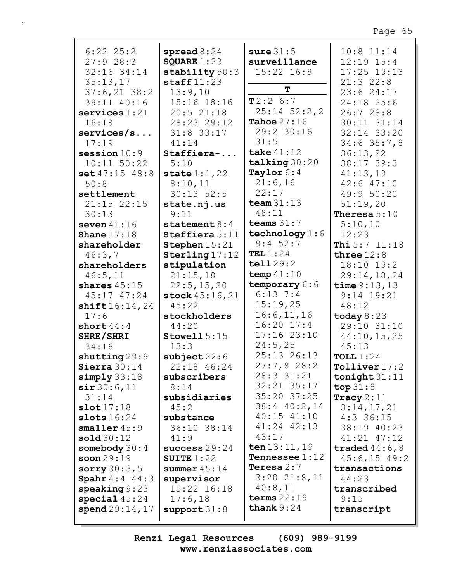| $6:22$ $25:2$<br>27:928:3<br>32:16 34:14<br>35:13,17<br>$37:6,21$ 38:2<br>39:11 40:16<br>$s$ ervices $1:21$<br>16:18<br>$s$ ervices/s<br>17:19<br>session $10:9$ | spread $8:24$<br>SQUARE $1:23$<br>stability $50:3$<br>$\texttt{staff11:23}$<br>13:9,10<br>15:16 18:16<br>20:521:18<br>28:23 29:12<br>$31:8$ 33:17<br>41:14<br>Staffiera- | sure $31:5$<br>surveillance<br>$15:22$ $16:8$<br>T<br>T2:26:7<br>$25:14$ $52:2,2$<br>Tahoe $27:16$<br>29:2 30:16<br>31:5<br>take $41:12$ | $10:8$ 11:14<br>$12:19$ $15:4$<br>17:25 19:13<br>21:322:8<br>23:624:17<br>24:18 25:6<br>26:728:8<br>30:11 31:14<br>32:14 33:20<br>$34:6$ 35:7,8<br>36:13,22 |
|------------------------------------------------------------------------------------------------------------------------------------------------------------------|--------------------------------------------------------------------------------------------------------------------------------------------------------------------------|------------------------------------------------------------------------------------------------------------------------------------------|-------------------------------------------------------------------------------------------------------------------------------------------------------------|
| $10:11$ $50:22$                                                                                                                                                  | 5:10                                                                                                                                                                     | talking 30:20                                                                                                                            | 38:17 39:3                                                                                                                                                  |
| set 47:15 48:8<br>50:8                                                                                                                                           | state $1:1,22$<br>8:10,11                                                                                                                                                | Taylor 6:4<br>21:6,16                                                                                                                    | 41:13,19<br>$42:6$ $47:10$                                                                                                                                  |
| settlement                                                                                                                                                       | $30:13$ 52:5                                                                                                                                                             | 22:17                                                                                                                                    | 49:9 50:20                                                                                                                                                  |
| $21:15$ $22:15$<br>30:13                                                                                                                                         | state.nj.us<br>9:11                                                                                                                                                      | team $31:13$<br>48:11                                                                                                                    | 51:19,20<br>Theresa $5:10$                                                                                                                                  |
| seven $41:16$                                                                                                                                                    | statement $8:4$                                                                                                                                                          | teams $31:7$                                                                                                                             | 5:10,10                                                                                                                                                     |
| Shane $17:18$                                                                                                                                                    | Steffiera 5:11                                                                                                                                                           | technology $1:6$                                                                                                                         | 12:23                                                                                                                                                       |
| shareholder                                                                                                                                                      | Stephen $15:21$                                                                                                                                                          | $9:4$ 52:7                                                                                                                               | <b>Thi</b> $5:7$ $11:18$                                                                                                                                    |
| 46:3,7                                                                                                                                                           | $\text{sterling }17:12$                                                                                                                                                  | TEL $1:24$                                                                                                                               | three $12:8$                                                                                                                                                |
| shareholders                                                                                                                                                     | stipulation                                                                                                                                                              | tell 29:2<br>temp $41:10$                                                                                                                | 18:10 19:2                                                                                                                                                  |
| 46:5, 11<br>shares $45:15$                                                                                                                                       | 21:15,18<br>22:5, 15, 20                                                                                                                                                 | temporary 6:6                                                                                                                            | 29:14,18,24<br>time $9:13,13$                                                                                                                               |
| $45:17$ $47:24$                                                                                                                                                  | stock $45:16,21$                                                                                                                                                         | $6:13$ 7:4                                                                                                                               | $9:14$ 19:21                                                                                                                                                |
| shift16:14,24                                                                                                                                                    | 45:22                                                                                                                                                                    | 15:19,25                                                                                                                                 | 48:12                                                                                                                                                       |
| 17:6                                                                                                                                                             | stockholders                                                                                                                                                             | 16:6, 11, 16                                                                                                                             | today $8:23$                                                                                                                                                |
| short $44:4$                                                                                                                                                     | 44:20                                                                                                                                                                    | $16:20$ $17:4$                                                                                                                           | 29:10 31:10                                                                                                                                                 |
| SHRE/SHRI                                                                                                                                                        | Stowell $5:15$                                                                                                                                                           | 17:1623:10                                                                                                                               | 44:10,15,25                                                                                                                                                 |
| 34:16<br>shutting $29:9$                                                                                                                                         | 13:3<br>$\texttt{subject} 22:6$                                                                                                                                          | 24:5,25<br>25:13 26:13                                                                                                                   | 45:13<br>TOLL $1:24$                                                                                                                                        |
| Sierra $30:14$                                                                                                                                                   | 22:18 46:24                                                                                                                                                              | 27:7,828:2                                                                                                                               | Tolliver $17:2$                                                                                                                                             |
| simplify 33:18                                                                                                                                                   | subscribers                                                                                                                                                              | 28:3 31:21                                                                                                                               | tonight $31:11$                                                                                                                                             |
| $\sin 30:6,11$                                                                                                                                                   | 8:14                                                                                                                                                                     | 32:21 35:17                                                                                                                              | top 31:8                                                                                                                                                    |
| 31:14                                                                                                                                                            | subsidiaries                                                                                                                                                             | 35:20 37:25                                                                                                                              | Tracy $2:11$                                                                                                                                                |
| slot17:18                                                                                                                                                        | 45:2                                                                                                                                                                     | $38:4$ 40:2,14                                                                                                                           | 3:14,17,21                                                                                                                                                  |
| slots $16:24$                                                                                                                                                    | substance                                                                                                                                                                | $40:15$ $41:10$<br>41:24 42:13                                                                                                           | $4:3$ 36:15                                                                                                                                                 |
| smaller $45:9$<br>$\text{solid}30:12$                                                                                                                            | 36:10 38:14<br>41:9                                                                                                                                                      | 43:17                                                                                                                                    | 38:19 40:23<br>$41:21$ $47:12$                                                                                                                              |
| somebody $30:4$                                                                                                                                                  | success $29:24$                                                                                                                                                          | ten $13:11,19$                                                                                                                           | traded $44:6,8$                                                                                                                                             |
| $\texttt{soon} 29:19$                                                                                                                                            | SUITE $1:22$                                                                                                                                                             | <b>Tennessee</b> $1:12$                                                                                                                  | $45:6, 15$ $49:2$                                                                                                                                           |
| sorry $30:3,5$                                                                                                                                                   | summer $45:14$                                                                                                                                                           | Teresa $2:7$                                                                                                                             | transactions                                                                                                                                                |
| <b>Spahr</b> $4:4$ $44:3$                                                                                                                                        | supervisor                                                                                                                                                               | $3:20$ $21:8,11$                                                                                                                         | 44:23                                                                                                                                                       |
| $\text{speaking } 9:23$                                                                                                                                          | 15:22 16:18                                                                                                                                                              | 40:8,11                                                                                                                                  | transcribed                                                                                                                                                 |
| special $45:24$                                                                                                                                                  | 17:6,18                                                                                                                                                                  | terms $22:19$<br>thank $9:24$                                                                                                            | 9:15                                                                                                                                                        |
| spend $29:14,17$                                                                                                                                                 | support 31:8                                                                                                                                                             |                                                                                                                                          | transcript                                                                                                                                                  |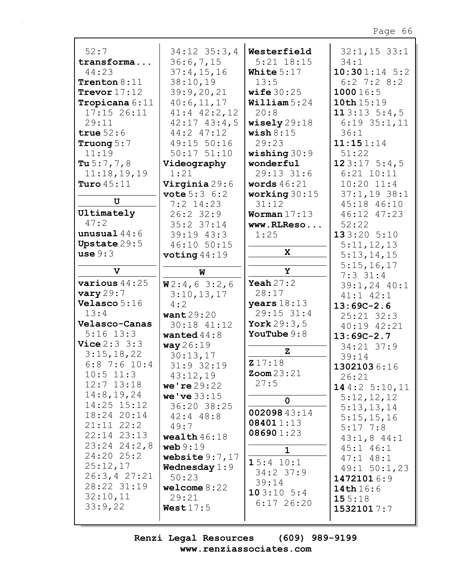|                         |                         | Westerfield           |                 |
|-------------------------|-------------------------|-----------------------|-----------------|
| 52:7                    | $34:12$ $35:3,4$        |                       | $32:1, 15$ 33:1 |
| transforma              | 36:6,7,15               | $5:21$ $18:15$        | 34:1            |
| 44:23                   | 37:4,15,16              | White $5:17$          | $10:301:14$ 5:2 |
| Trenton $8:11$          | 38:10,19                | 13:5                  | $6:2$ 7:2 8:2   |
| Trevor $17:12$          | 39:9,20,21              | wife $30:25$          | 100016:5        |
| Tropicana 6:11          | 40:6,11,17              | William $5:24$        | 10th 15:19      |
| $17:15$ 26:11           | $41:4$ $42:2$ , 12      | 20:8                  | 113:135:4,5     |
| 29:11                   | $42:17$ $43:4$ , 5      | wisely $29:18$        | $6:19$ 35:1, 11 |
| true $52:6$             | 44:2 47:12              | $\texttt{ wish} 8:15$ | 36:1            |
| Truong $5:7$            | 49:15 50:16             | 29:23                 | 11:151:14       |
| 11:19                   | $50:17$ $51:10$         | wishing $30:9$        | 51:22           |
| Tu $5:7,7,8$            | Videography             | wonderful             | 123:175:4,5     |
| 11:18,19,19             | 1:21                    | 29:13 31:6            | $6:21$ $10:11$  |
| Turo $45:11$            | Virginia 29:6           | words $46:21$         | $10:20$ $11:4$  |
|                         | <b>vote</b> $5:3 \ 6:2$ | working $30:15$       | $37:1,19$ 38:1  |
| U                       | $7:2$ 14:23             | 31:12                 | 45:18 46:10     |
| Ultimately              | $26:2$ 32:9             | Worman $17:13$        | 46:12 47:23     |
| 47:2                    | $35:2$ $37:14$          | www.RLReso            | 52:22           |
| unusual $44:6$          | 39:19 43:3              | 1:25                  | 133:20 5:10     |
| Upstate 29:5            | 46:10 50:15             |                       | 5:11,12,13      |
| use 9:3                 | voting $44:19$          | $\mathbf{x}$          | 5:13,14,15      |
|                         |                         |                       | 5:15,16,17      |
| $\mathbf{v}$            | W                       | Y                     | $7:3$ 31:4      |
| various $44:25$         | W2:4,63:2,6             | Yeah $27:2$           | $39:1, 24$ 40:1 |
| $\text{vary } 29:7$     | 3:10,13,17              | 28:17                 | $41:1$ $42:1$   |
| Velasco 5:16            | 4:2                     | years $18:13$         | $13:69C-2.6$    |
| 13:4                    | want $29:20$            | 29:15 31:4            | $25:21$ $32:3$  |
| Velasco-Canas           | 30:18 41:12             | York $29:3,5$         | 40:19 42:21     |
| $5:16$ $13:3$           | wanted $44:8$           | YouTube $9:8$         | $13:69C-2.7$    |
| <b>Vice</b> $2:3 \ 3:3$ | way 26:19               |                       | 34:21 37:9      |
| 3:15,18,22              | 30:13,17                | $\mathbf{z}$          | 39:14           |
| $6:8$ 7:6 10:4          | 31:9 32:19              | 217:18                | 13021036:16     |
| $10:5$ 11:3             | 43:12,19                | $\text{Zoom } 23:21$  | 26:21           |
| $12:7$ $13:18$          | we're $29:22$           | 27:5                  |                 |
| 14:8, 19, 24            | we've 33:15             |                       | 144:2 $5:10,11$ |
| $14:25$ $15:12$         | 36:20 38:25             | $\mathbf 0$           | 5:12,12,12      |
| 18:24 20:14             | $42:4$ $48:8$           | 00209843:14           | 5:13,13,14      |
| $21:11$ $22:2$          | 49:7                    | 084011:13             | 5:15,15,16      |
| 22:14 23:13             |                         | 086901:23             | $5:17 \t7:8$    |
| $23:24$ $24:2,8$        | wealth $46:18$          |                       | $43:1,8$ $44:1$ |
| $24:20$ 25:2            | web 9:19                | $\mathbf{1}$          | $45:1$ $46:1$   |
|                         | website $9:7,17$        | 15:4 10:1             | $47:1$ $48:1$   |
| 25:12,17                | <b>Wednesday</b> $1:9$  | $34:2$ 37:9           | $49:1$ 50:1,23  |
| 26:3, 427:21            | 50:23                   | 39:14                 | 14721016:9      |
| 28:22 31:19             | welcome $8:22$          | 103:105:4             | 14th 16:6       |
| 32:10,11                | 29:21                   | $6:17$ 26:20          | 155:18          |
| 33:9,22                 | West17:5                |                       | 15321017:7      |
|                         |                         |                       |                 |